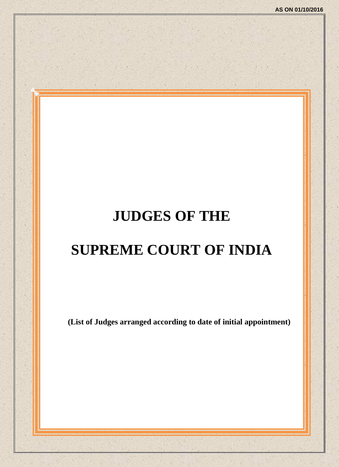# **JUDGES OF THE**

# **SUPREME COURT OF INDIA**

**(List of Judges arranged according to date of initial appointment)**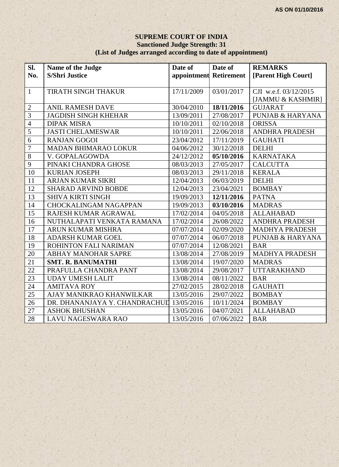## **SUPREME COURT OF INDIA Sanctioned Judge Strength: 31 (List of Judges arranged according to date of appointment)**

| Sl.             | Name of the Judge                        | Date of                | Date of    | <b>REMARKS</b>              |
|-----------------|------------------------------------------|------------------------|------------|-----------------------------|
| No.             | <b>S/Shri Justice</b>                    | appointment Retirement |            | [Parent High Court]         |
|                 |                                          |                        |            |                             |
| $\mathbf{1}$    | TIRATH SINGH THAKUR                      | 17/11/2009             | 03/01/2017 | CJI w.e.f. 03/12/2015       |
|                 |                                          |                        |            | [JAMMU & KASHMIR]           |
| $\overline{2}$  | <b>ANIL RAMESH DAVE</b>                  | 30/04/2010             | 18/11/2016 | <b>GUJARAT</b>              |
| $\overline{3}$  | <b>JAGDISH SINGH KHEHAR</b>              | 13/09/2011             | 27/08/2017 | <b>PUNJAB &amp; HARYANA</b> |
| $\overline{4}$  | <b>DIPAK MISRA</b>                       | 10/10/2011             | 02/10/2018 | <b>ORISSA</b>               |
| $\overline{5}$  | <b>JASTI CHELAMESWAR</b>                 | 10/10/2011             | 22/06/2018 | <b>ANDHRA PRADESH</b>       |
| $\overline{6}$  | <b>RANJAN GOGOI</b>                      | 23/04/2012             | 17/11/2019 | <b>GAUHATI</b>              |
| $\overline{7}$  | <b>MADAN BHIMARAO LOKUR</b>              | 04/06/2012             | 30/12/2018 | <b>DELHI</b>                |
| $\overline{8}$  | V. GOPALAGOWDA                           | 24/12/2012             | 05/10/2016 | <b>KARNATAKA</b>            |
| $\overline{9}$  | PINAKI CHANDRA GHOSE                     | 08/03/2013             | 27/05/2017 | <b>CALCUTTA</b>             |
| $\overline{10}$ | <b>KURIAN JOSEPH</b>                     | 08/03/2013             | 29/11/2018 | <b>KERALA</b>               |
| 11              | <b>ARJAN KUMAR SIKRI</b>                 | 12/04/2013             | 06/03/2019 | <b>DELHI</b>                |
| 12              | <b>SHARAD ARVIND BOBDE</b>               | 12/04/2013             | 23/04/2021 | <b>BOMBAY</b>               |
| $1\overline{3}$ | <b>SHIVA KIRTI SINGH</b>                 | 19/09/2013             | 12/11/2016 | <b>PATNA</b>                |
| 14              | <b>CHOCKALINGAM NAGAPPAN</b>             | 19/09/2013             | 03/10/2016 | <b>MADRAS</b>               |
| 15              | RAJESH KUMAR AGRAWAL                     | 17/02/2014             | 04/05/2018 | <b>ALLAHABAD</b>            |
| 16              | NUTHALAPATI VENKATA RAMANA               | 17/02/2014             | 26/08/2022 | <b>ANDHRA PRADESH</b>       |
| 17              | <b>ARUN KUMAR MISHRA</b>                 | 07/07/2014             | 02/09/2020 | <b>MADHYA PRADESH</b>       |
| 18              | <b>ADARSH KUMAR GOEL</b>                 | 07/07/2014             | 06/07/2018 | <b>PUNJAB &amp; HARYANA</b> |
| 19              | ROHINTON FALI NARIMAN                    | 07/07/2014             | 12/08/2021 | <b>BAR</b>                  |
| 20              | ABHAY MANOHAR SAPRE                      | 13/08/2014             | 27/08/2019 | <b>MADHYA PRADESH</b>       |
| 21              | <b>SMT. R. BANUMATHI</b>                 | 13/08/2014             | 19/07/2020 | <b>MADRAS</b>               |
| $\overline{22}$ | PRAFULLA CHANDRA PANT                    | 13/08/2014             | 29/08/2017 | <b>UTTARAKHAND</b>          |
| $\overline{23}$ | <b>UDAY UMESH LALIT</b>                  | 13/08/2014             | 08/11/2022 | <b>BAR</b>                  |
| $\overline{24}$ | <b>AMITAVA ROY</b>                       | 27/02/2015             | 28/02/2018 | <b>GAUHATI</b>              |
| 25              | AJAY MANIKRAO KHANWILKAR                 | 13/05/2016             | 29/07/2022 | <b>BOMBAY</b>               |
| 26              | DR. DHANANJAYA Y. CHANDRACHUL 13/05/2016 |                        | 10/11/2024 | <b>BOMBAY</b>               |
| 27              | <b>ASHOK BHUSHAN</b>                     | 13/05/2016             | 04/07/2021 | <b>ALLAHABAD</b>            |
| 28              | <b>LAVU NAGESWARA RAO</b>                | 13/05/2016             | 07/06/2022 | <b>BAR</b>                  |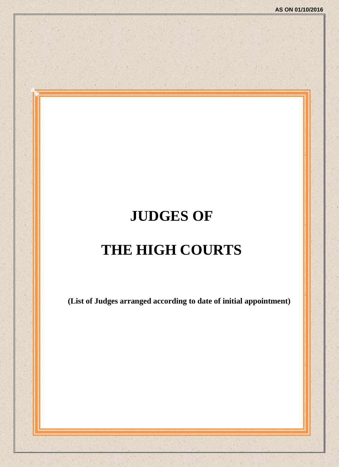# **JUDGES OF**

# **THE HIGH COURTS**

**(List of Judges arranged according to date of initial appointment)**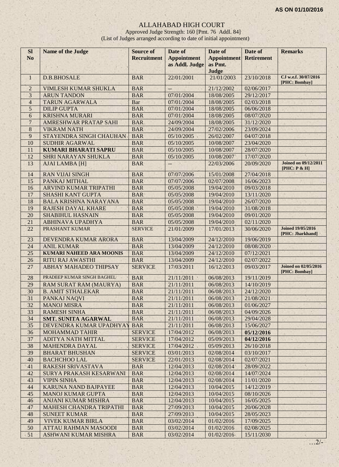## ALLAHABAD HIGH COURT

Approved Judge Strength: 160 [Pmt. 76 Addl. 84] (List of Judges arranged according to date of initial appointment)

| <b>SI</b><br>N <sub>o</sub> | <b>Name of the Judge</b>        | <b>Source of</b><br><b>Recruitment</b> | Date of<br><b>Appointment</b> | Date of<br><b>Appointment</b> | Date of<br><b>Retirement</b> | <b>Remarks</b>                               |
|-----------------------------|---------------------------------|----------------------------------------|-------------------------------|-------------------------------|------------------------------|----------------------------------------------|
|                             |                                 |                                        | as Addl. Judge                | as Pmt.                       |                              |                                              |
|                             |                                 |                                        |                               | Judge                         |                              |                                              |
| $\mathbf{1}$                | <b>D.B.BHOSALE</b>              | <b>BAR</b>                             | 22/01/2001                    | 21/01/2003                    | 23/10/2018                   | CJ w.e.f. 30/07/2016<br>[PHC: Bombay]        |
| $\mathbf 2$                 | VIMLESH KUMAR SHUKLA            | <b>BAR</b>                             | $\overline{\phantom{a}}$      | 21/12/2002                    | 02/06/2017                   |                                              |
| 3                           | <b>ARUN TANDON</b>              | <b>BAR</b>                             | 07/01/2004                    | 18/08/2005                    | 29/12/2017                   |                                              |
| $\overline{4}$              | <b>TARUN AGARWALA</b>           | Bar                                    | 07/01/2004                    | 18/08/2005                    | 02/03/2018                   |                                              |
| 5                           | <b>DILIP GUPTA</b>              | <b>BAR</b>                             | 07/01/2004                    | 18/08/2005                    | 06/06/2018                   |                                              |
| $\overline{6}$              | <b>KRISHNA MURARI</b>           | <b>BAR</b>                             | 07/01/2004                    | 18/08/2005                    | 08/07/2020                   |                                              |
| $\overline{7}$              | AMRESHWAR PRATAP SAHI           | <b>BAR</b>                             | 24/09/2004                    | 18/08/2005                    | 31/12/2020                   |                                              |
| $\,8\,$                     | <b>VIKRAM NATH</b>              | <b>BAR</b>                             | 24/09/2004                    | 27/02/2006                    | 23/09/2024                   |                                              |
| 9                           | STAYENDRA SINGH CHAUHAN         | <b>BAR</b>                             | 05/10/2005                    | 26/02/2007                    | 04/07/2018                   |                                              |
| 10                          | <b>SUDHIR AGARWAL</b>           | <b>BAR</b>                             | 05/10/2005                    | 10/08/2007                    | 23/04/2020                   |                                              |
| 11                          | <b>KUMARI BHARATI SAPRU</b>     | <b>BAR</b>                             | 05/10/2005                    | 10/08/2007                    | 28/07/2020                   |                                              |
| 12                          | <b>SHRI NARAYAN SHUKLA</b>      | <b>BAR</b>                             | 05/10/2005                    | 10/08/2007                    | 17/07/2020                   |                                              |
| 13                          | <b>AJAI LAMBA [H]</b>           | <b>BAR</b>                             | $\qquad \qquad -$             | 22/03/2006                    | 20/09/2020                   | <b>Joined on 09/12/2011</b><br>[PHC: P & H]  |
| 14                          | <b>RAN VIJAI SINGH</b>          | <b>BAR</b>                             | 07/07/2006                    | 15/01/2008                    | 27/04/2018                   |                                              |
| 15                          | PANKAJ MITHAL                   | <b>BAR</b>                             | 07/07/2006                    | 02/07/2008                    | 16/06/2023                   |                                              |
| 16                          | ARVIND KUMAR TRIPATHI           | <b>BAR</b>                             | 05/05/2008                    | 19/04/2010                    | 09/03/2018                   |                                              |
| 17                          | <b>SHASHI KANT GUPTA</b>        | <b>BAR</b>                             | 05/05/2008                    | 19/04/2010                    | 13/11/2020                   |                                              |
| 18                          | <b>BALA KRISHNA NARAYANA</b>    | <b>BAR</b>                             | 05/05/2008                    | 19/04/2010                    | 26/07/2020                   |                                              |
| 19                          | <b>RAJESH DAYAL KHARE</b>       | <b>BAR</b>                             | 05/05/2008                    | 19/04/2010                    | 31/08/2018                   |                                              |
| 20                          | <b>SHABIHUL HASNAIN</b>         | <b>BAR</b>                             | 05/05/2008                    | 19/04/2010                    | 09/01/2020                   |                                              |
| 21                          | <b>ABHINAVA UPADHYA</b>         | <b>BAR</b>                             | 05/05/2008                    | 19/04/2010                    | 02/11/2020                   |                                              |
| 22                          | PRASHANT KUMAR                  | <b>SERVICE</b>                         | 21/01/2009                    | 17/01/2013                    | 30/06/2020                   | <b>Joined 19/05/2016</b><br>[PHC: Jharkhand] |
| 23                          | DEVENDRA KUMAR ARORA            | <b>BAR</b>                             | 13/04/2009                    | 24/12/2010                    | 19/06/2019                   |                                              |
| 24                          | <b>ANIL KUMAR</b>               | <b>BAR</b>                             | 13/04/2009                    | 24/12/2010                    | 08/08/2020                   |                                              |
| 25                          | <b>KUMARI NAHEED ARA MOONIS</b> | <b>BAR</b>                             | 13/04/2009                    | 24/12/2010                    | 07/12/2021                   |                                              |
| 26                          | <b>RITU RAJ AWASTHI</b>         | <b>BAR</b>                             | 13/04/2009                    | 24/12/2010                    | 02/07/2022                   |                                              |
| 27                          | ABHAY MAHADEO THIPSAY           | <b>SERVICE</b>                         | 17/03/2011                    | 16/12/2013                    | 09/03/2017                   | <b>Joined on 02/05/2016</b><br>[PHC: Bombay] |
| 28                          | PRADEEP KUMAR SINGH BAGHEL      | <b>BAR</b>                             | 21/11/2011<br>×               | 06/08/2013                    | 19/11/2019                   |                                              |
| 29                          | <b>RAM SURAT RAM (MAURYA)</b>   | <b>BAR</b>                             | 21/11/2011                    | 06/08/2013                    | 14/10/2019                   |                                              |
| 30                          | <b>B. AMIT STHALEKAR</b>        | <b>BAR</b>                             | 21/11/2011                    | 06/08/2013                    | 24/12/2020                   |                                              |
| 31                          | PANKAJ NAQVI                    | <b>BAR</b>                             | 21/11/2011                    | 06/08/2013                    | 21/08/2021                   |                                              |
| 32                          | <b>MANOJ MISRA</b>              | <b>BAR</b>                             | 21/11/2011                    | 06/08/2013                    | 01/06/2027                   |                                              |
| 33                          | <b>RAMESH SINHA</b>             | <b>BAR</b>                             | 21/11/2011                    | 06/08/2013                    | 04/09/2026                   |                                              |
| 34                          | <b>SMT. SUNITA AGARWAL</b>      | <b>BAR</b>                             | 21/11/2011                    | 06/08/2013                    | 29/04/2028                   |                                              |
| 35                          | DEVENDRA KUMAR UPADHYAY         | <b>BAR</b>                             | 21/11/2011                    | 06/08/2013                    | 15/06/2027                   |                                              |
| 36                          | <b>MOHAMMAD TAHIR</b>           | <b>SERVICE</b>                         | 17/04/2012                    | 06/08/2013                    | 05/12/2016                   |                                              |
| 37                          | ADITYA NATH MITTAL              | <b>SERVICE</b>                         | 17/04/2012                    | 05/09/2013                    | 04/12/2016                   |                                              |
| 38                          | <b>MAHENDRA DAYAL</b>           | <b>SERVICE</b>                         | 17/04/2012                    | 05/09/2013                    | 26/10/2018                   |                                              |
| 39                          | <b>BHARAT BHUSHAN</b>           | <b>SERVICE</b>                         | 03/01/2013                    | 02/08/2014                    | 03/10/2017                   |                                              |
| 40                          | <b>BACHCHOO LAL</b>             | <b>SERVICE</b>                         | 22/01/2013                    | 02/08/2014                    | 02/07/2021                   |                                              |
| 41                          | RAKESH SRIVASTAVA               | <b>BAR</b>                             | 12/04/2013                    | 02/08/2014                    | 28/09/2022                   | $\mathbf{q}_i$                               |
| 42                          | SURYA PRAKASH KESARWANI         | <b>BAR</b>                             | 12/04/2013                    | 02/08/2014                    | 14/07/2024                   |                                              |
| 43                          | <b>VIPIN SINHA</b>              | <b>BAR</b>                             | 12/04/2013                    | 02/08/2014                    | 11/01/2020                   |                                              |
| 44                          | KARUNA NAND BAJPAYEE            | <b>BAR</b>                             | 12/04/2013                    | 10/04/2015                    | 14/12/2019                   |                                              |
| 45                          | <b>MANOJ KUMAR GUPTA</b>        | <b>BAR</b>                             | 12/04/2013                    | 10/04/2015                    | 08/10/2026                   |                                              |
| 46                          | <b>ANJANI KUMAR MISHRA</b>      | <b>BAR</b>                             | 12/04/2013                    | 10/04/2015                    | 16/05/2025                   |                                              |
| 47                          | <b>MAHESH CHANDRA TRIPATHI</b>  | <b>BAR</b>                             | 27/09/2013                    | 10/04/2015                    | 20/06/2028                   |                                              |
| 48                          | <b>SUNEET KUMAR</b>             | <b>BAR</b>                             | 27/09/2013                    | 10/04/2015                    | 28/05/2023                   |                                              |
| 49                          | <b>VIVEK KUMAR BIRLA</b>        | <b>BAR</b>                             | 03/02/2014                    | 01/02/2016                    | 17/09/2025                   |                                              |
| 50                          | <b>ATTAU RAHMAN MASOODI</b>     | <b>BAR</b>                             | 03/02/2014                    | 01/02/2016                    | 02/08/2025                   |                                              |
| 51                          | ASHWANI KUMAR MISHRA            | <b>BAR</b>                             | 03/02/2014                    | 01/02/2016                    | 15/11/2030                   | $\mathbf{a}_i$                               |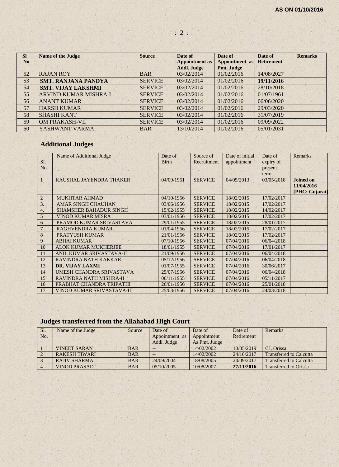| <b>SI</b>      | <b>Name of the Judge</b>   | <b>Source</b>  | Date of               | Date of           | Date of           | <b>Remarks</b> |
|----------------|----------------------------|----------------|-----------------------|-------------------|-------------------|----------------|
| N <sub>0</sub> |                            |                | <b>Appointment as</b> | Appointment as    | <b>Retirement</b> |                |
|                |                            |                | <b>Addl. Judge</b>    | <b>Pmt. Judge</b> |                   |                |
| 52             | <b>RAJAN ROY</b>           | <b>BAR</b>     | 03/02/2014            | 01/02/2016        | 14/08/2027        |                |
| 53             | <b>SMT. RANJANA PANDYA</b> | <b>SERVICE</b> | 03/02/2014            | 01/02/2016        | 19/11/2016        |                |
| 54             | <b>SMT. VIJAY LAKSHMI</b>  | <b>SERVICE</b> | 03/02/2014            | 01/02/2016        | 28/10/2018        |                |
| 55             | ARVIND KUMAR MISHRA-I      | <b>SERVICE</b> | 03/02/2014            | 01/02/2016        | 01/07/1961        |                |
| 56             | <b>ANANT KUMAR</b>         | <b>SERVICE</b> | 03/02/2014            | 01/02/2016        | 06/06/2020        |                |
| 57             | <b>HARSH KUMAR</b>         | <b>SERVICE</b> | 03/02/2014            | 01/02/2016        | 29/03/2020        |                |
| 58             | <b>SHASHI KANT</b>         | <b>SERVICE</b> | 03/02/2014            | 01/02/2016        | 31/07/2019        |                |
| 59             | <b>OM PRAKASH-VII</b>      | <b>SERVICE</b> | 03/02/2014            | 01/02/2016        | 09/09/2022        |                |
| 60             | YASHWANT VARMA             | <b>BAR</b>     | 13/10/2014            | 01/02/2016        | 05/01/2031        |                |

# **Additional Judges**

|                | Name of Additional Judge      | Date of      | Source of      | Date of initial | Date of    | <b>Remarks</b>   |
|----------------|-------------------------------|--------------|----------------|-----------------|------------|------------------|
| SI.            |                               | <b>Birth</b> | Recruitment    | appointment     | expiry of  |                  |
| No.            |                               |              |                |                 | present    |                  |
|                |                               |              |                |                 | term       |                  |
|                | KAUSHAL JAYENDRA THAKER       | 04/09/1961   | <b>SERVICE</b> | 04/05/2013      | 03/05/2018 | <b>Joined on</b> |
|                |                               |              |                |                 |            | 11/04/2016       |
|                |                               |              |                |                 |            | [PHC: Gujarat]   |
| $\overline{2}$ | <b>MUKHTAR AHMAD</b>          | 04/10/1956   | <b>SERVICE</b> | 18/02/2015      | 17/02/2017 |                  |
| 3.             | <b>AMAR SINGH CHAUHAN</b>     | 03/06/1956   | <b>SERVICE</b> | 18/02/2015      | 17/02/2017 |                  |
| 4.             | <b>SHAMSHER BAHADUR SINGH</b> | 15/02/1955   | <b>SERVICE</b> | 18/02/2015      | 14/02/2017 |                  |
| 5              | <b>VINOD KUMAR MISRA</b>      | 03/01/1956   | <b>SERVICE</b> | 18/02/2015      | 17/02/2017 |                  |
| 6              | PRAMOD KUMAR SRIVASTAVA       | 29/01/1955   | <b>SERVICE</b> | 18/02/2015      | 28/01/2017 |                  |
|                | <b>RAGHVENDRA KUMAR</b>       | 01/04/1956   | <b>SERVICE</b> | 18/02/2015      | 17/02/2017 |                  |
| 8              | <b>PRATYUSH KUMAR</b>         | 21/01/1956   | <b>SERVICE</b> | 18/02/2015      | 17/02/2017 |                  |
| 9              | <b>ABHAI KUMAR</b>            | 07/10/1956   | <b>SERVICE</b> | 07/04/2016      | 06/04/2018 |                  |
| 10             | <b>ALOK KUMAR MUKHERJEE</b>   | 18/01/1955   | <b>SERVICE</b> | 07/04/2016      | 17/01/2017 |                  |
| 11             | ANIL KUMAR SRIVASTAVA-II      | 21/09/1956   | <b>SERVICE</b> | 07/04/2016      | 06/04/2018 |                  |
| 12             | RAVINDRA NATH KAKKAR          | 05/12/1956   | <b>SERVICE</b> | 07/04/2016      | 06/04/2018 |                  |
| 13             | <b>DR. VIJAY LAXMI</b>        | 01/07/1955   | <b>SERVICE</b> | 07/04/2016      | 30/06/2017 |                  |
| 14             | UMESH CHANDRA SRIVASTAVA      | 25/07/1956   | <b>SERVICE</b> | 07/04/2016      | 06/04/2018 |                  |
| 15             | RAVINDRA NATH MISHRA-II       | 06/11/1955   | <b>SERVICE</b> | 07/04/2016      | 05/11/2017 |                  |
| 16             | PRABHAT CHANDRA TRIPATHI      | 26/01/1956   | <b>SERVICE</b> | 07/04/2016      | 25/01/2018 |                  |
| 17             | VINOD KUMAR SRIVASTAVA-III    | 25/03/1956   | <b>SERVICE</b> | 07/04/2016      | 24/03/2018 |                  |

# **Judges transferred from the Allahabad High Court**

| Sl. | Name of the Judge    | Source     | Date of        | Date of       | Date of    | Remarks                        |
|-----|----------------------|------------|----------------|---------------|------------|--------------------------------|
| No. |                      |            | Appointment as | Appointment   | Retirement |                                |
|     |                      |            | Addl. Judge    | As Pmt. Judge |            |                                |
|     | <b>VINEET SARAN</b>  | <b>BAR</b> | --             | 14/02/2002    | 10/05/2019 | CJ. Orissa                     |
|     | <b>RAKESH TIWARI</b> | <b>BAR</b> | --             | 14/02/2002    | 24/10/2017 | <b>Transferred to Calcutta</b> |
|     | <b>RAJIV SHARMA</b>  | <b>BAR</b> | 24/09/2004     | 18/08/2005    | 24/09/2017 | <b>Transferred to Calcutta</b> |
|     | <b>VINOD PRASAD</b>  | <b>BAR</b> | 05/10/2005     | 10/08/2007    | 27/11/2016 | <b>Transferred to Orissa</b>   |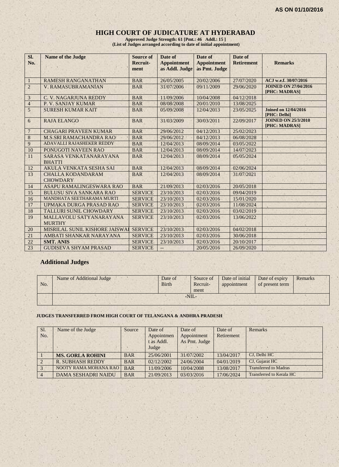#### **HIGH COURT OF JUDICATURE AT HYDERABAD**

**Approved Judge Strength: 61 [Pmt.: 46 Addl.: 15 ] (List of Judges arranged according to date of initial appointment)**

| Sl.<br>No.     | <b>Name of the Judge</b>                    | <b>Source of</b><br>Recruit-<br>ment | Date of<br><b>Appointment</b><br>as Addl. Judge | Date of<br><b>Appointment</b><br>as Pmt. Judge | Date of<br><b>Retirement</b> | <b>Remarks</b>                               |
|----------------|---------------------------------------------|--------------------------------------|-------------------------------------------------|------------------------------------------------|------------------------------|----------------------------------------------|
| 1              | <b>RAMESH RANGANATHAN</b>                   | <b>BAR</b>                           | 26/05/2005                                      | 20/02/2006                                     | 27/07/2020                   | ACJ w.e.f. 30/07/2016                        |
| $\overline{2}$ | V. RAMASUBRAMANIAN                          | <b>BAR</b>                           | 31/07/2006                                      | 09/11/2009                                     | 29/06/2020                   | <b>JOINED ON 27/04/2016</b><br>[PHC: MADRAS] |
| $\mathfrak{Z}$ | C. V. NAGARJUNA REDDY                       | <b>BAR</b>                           | 11/09/2006                                      | 10/04/2008                                     | 04/12/2018                   |                                              |
| $\overline{4}$ | P. V. SANJAY KUMAR                          | <b>BAR</b>                           | 08/08/2008                                      | 20/01/2010                                     | 13/08/2025                   |                                              |
| 5              | <b>SURESH KUMAR KAIT</b>                    | <b>BAR</b>                           | 05/09/2008                                      | 12/04/2013                                     | 23/05/2025                   | <b>Joined on 12/04/2016</b><br>[PHC: Delhi]  |
| 6              | <b>RAJA ELANGO</b>                          | <b>BAR</b>                           | 31/03/2009                                      | 30/03/2011                                     | 22/09/2017                   | <b>JOINED ON 25/3/2010</b><br>[PHC: MADRAS]  |
| $\overline{7}$ | <b>CHAGARI PRAVEEN KUMAR</b>                | <b>BAR</b>                           | 29/06/2012                                      | 04/12/2013                                     | 25/02/2023                   |                                              |
| $8\,$          | <b>M.S.SRI RAMACHANDRA RAO</b>              | <b>BAR</b>                           | 29/06/2012                                      | 04/12/2013                                     | 06/08/2028                   |                                              |
| 9              | ADAVALLI RAJASHEKER REDDY                   | <b>BAR</b>                           | 12/04/2013                                      | 08/09/2014                                     | 03/05/2022                   |                                              |
| 10             | PONUGOTI NAVEEN RAO                         | <b>BAR</b>                           | 12/04/2013                                      | 08/09/2014                                     | 14/07/2023                   |                                              |
| 11             | SARASA VENKATANARAYANA<br><b>BHATTI</b>     | <b>BAR</b>                           | 12/04/2013                                      | 08/09/2014                                     | 05/05/2024                   |                                              |
| 12             | <b>AKULA VENKATA SESHA SAI</b>              | <b>BAR</b>                           | 12/04/2013                                      | 08/09/2014                                     | 02/06/2024                   |                                              |
| 13             | <b>CHALLA KODANDARAM</b><br><b>CHOWDARY</b> | <b>BAR</b>                           | 12/04/2013                                      | 08/09/2014                                     | 31/07/2021                   |                                              |
| 14             | ASAPU RAMALINGESWARA RAO                    | <b>BAR</b>                           | 21/09/2013                                      | 02/03/2016                                     | 20/05/2018                   |                                              |
| 15             | <b>BULUSU SIVA SANKARA RAO</b>              | <b>SERVICE</b>                       | 23/10/2013                                      | 02/03/2016                                     | 09/04/2019                   |                                              |
| 16             | MANDHATA SEETHARAMA MURTI                   | <b>SERVICE</b>                       | 23/10/2013                                      | 02/03/2016                                     | 15/01/2020                   |                                              |
| 17             | UPMAKA DURGA PRASAD RAO                     | <b>SERVICE</b>                       | 23/10/2013                                      | 02/03/2016                                     | 11/08/2024                   |                                              |
| 18             | TALLURI SUNIL CHOWDARY                      | <b>SERVICE</b>                       | 23/10/2013                                      | 02/03/2016                                     | 03/02/2019                   |                                              |
| 19             | MALLAVOLU SATYANARAYANA<br><b>MURTHY</b>    | <b>SERVICE</b>                       | 23/10/2013                                      | 02/03/2016                                     | 13/06/2022                   |                                              |
| 20             | MISRILAL SUNIL KISHORE JAISWAI              | <b>SERVICE</b>                       | 23/10/2013                                      | 02/03/2016                                     | 04/02/2018                   |                                              |
| 21             | AMBATI SHANKAR NARAYANA                     | <b>SERVICE</b>                       | 23/10/2013                                      | 02/03/2016                                     | 30/06/2018                   |                                              |
| 22             | <b>SMT. ANIS</b>                            | <b>SERVICE</b>                       | 23/10/2013                                      | 02/03/2016                                     | 20/10/2017                   |                                              |
| 23             | <b>GUDISEVA SHYAM PRASAD</b>                | <b>SERVICE</b>                       | $--$                                            | 20/05/2016                                     | 26/09/2020                   |                                              |

## **Additional Judges**

| No. | Name of Additional Judge | Date of<br><b>Birth</b> |        | Source of<br>Recruit-<br>ment | Date of initial<br>appointment | Date of expiry<br>of present term | Remarks |
|-----|--------------------------|-------------------------|--------|-------------------------------|--------------------------------|-----------------------------------|---------|
|     |                          |                         | $-NII$ |                               |                                |                                   |         |
|     |                          |                         |        |                               |                                |                                   |         |

#### **JUDGES TRANSFERRED FROM HIGH COURT OF TELANGANA & ANDHRA PRADESH**

| Sl.<br>No.     | Name of the Judge            | Source     | Date of<br>Appointmen<br>t as Addl.<br>Judge | Date of<br>Appointment<br>As Pmt. Judge | Date of<br>Retirement | Remarks                      |
|----------------|------------------------------|------------|----------------------------------------------|-----------------------------------------|-----------------------|------------------------------|
|                | <b>MS. GORLA ROHINI</b>      | <b>BAR</b> | 25/06/2001                                   | 31/07/2002                              | 13/04/2017            | CJ, Delhi HC                 |
| $\overline{2}$ | <b>R. SUBHASH REDDY</b>      | <b>BAR</b> | 02/12/2002                                   | 24/06/2004                              | 04/01/2019            | CJ, Gujarat HC               |
| 3              | <b>NOOTY RAMA MOHANA RAO</b> | <b>BAR</b> | 11/09/2006                                   | 10/04/2008                              | 13/08/2017            | <b>Transferred to Madras</b> |
| $\overline{4}$ | <b>DAMA SESHADRI NAIDU</b>   | <b>BAR</b> | 21/09/2013                                   | 03/03/2016                              | 17/06/2024            | Transferred to Kerala HC     |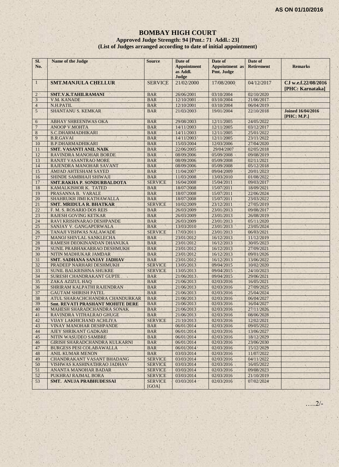## **BOMBAY HIGH COURT Approved Judge Strength: 94 [Pmt.: 71 Addl.: 23] (List of Judges arranged according to date of initial appointment)**

| SI.<br>No.     | Name of the Judge                       | <b>Source</b>           | Date of<br><b>Appointment</b><br>as Addl.<br>Judge | Date of<br><b>Appointment</b> as<br>Pmt. Judge | Date of<br><b>Retirement</b> | <b>Remarks</b>                          |
|----------------|-----------------------------------------|-------------------------|----------------------------------------------------|------------------------------------------------|------------------------------|-----------------------------------------|
| $\mathbf{1}$   | <b>SMT.MANJULA CHELLUR</b>              | <b>SERVICE</b>          | 21/02/2000                                         | 17/08/2000                                     | 04/12/2017                   | CJ w.e.f.22/08/2016<br>[PHC: Karnataka] |
| $\overline{2}$ | <b>SMT.V.K.TAHILRAMANI</b>              | <b>BAR</b>              | 26/06/2001                                         | 03/10/2004                                     | 02/10/2020                   |                                         |
| $\mathfrak{Z}$ | V.M. KANADE                             | <b>BAR</b>              | 12/10/2001                                         | 03/10/2004                                     | 21/06/2017                   |                                         |
| $\overline{4}$ | N.H.PATIL                               | <b>BAR</b>              | 12/10/2001                                         | 03/10/2004                                     | 06/04/2019                   |                                         |
| 5              | <b>SHANTANU S. KEMKAR</b>               | <b>BAR</b>              | 21/03/2003                                         | 19/01/2004                                     | 22/10/2018                   | <b>Joined 16/04/2016</b><br>[PHC: M.P.] |
| 6              | ABHAY SHREENIWAS OKA                    | <b>BAR</b>              | 29/08/2003                                         | 12/11/2005                                     | 24/05/2022                   |                                         |
| $\overline{7}$ | <b>ANOOP V.MOHTA</b>                    | <b>BAR</b>              | 14/11/2003                                         | 12/11/2005                                     | 03/12/2017                   |                                         |
| 8              | S.C.DHARMADHIKARI                       | <b>BAR</b>              | 14/11/2003                                         | 12/11/2005                                     | 25/01/2022                   |                                         |
| 9              | <b>B.R.GAVAI</b>                        | <b>BAR</b>              | 14/11/2003                                         | 12/11/2005                                     | 23/11/2022                   |                                         |
| 10             | <b>B.P.DHARMADHIKARI</b>                | <b>BAR</b>              | 15/03/2004                                         | 12/03/2006                                     | 27/04/2020                   |                                         |
| 11             | <b>SMT. VASANTI ANIL NAIK</b>           | <b>BAR</b>              | 22/06/2005                                         | 29/04/2007                                     | 02/05/2018                   |                                         |
| 12             | RAVINDRA MANOHAR BORDE                  | <b>BAR</b>              | 08/09/2006                                         | 05/09/2008                                     | 09/08/2019                   |                                         |
| 13             | <b>RANJIT VASANTRAO MORE</b>            | <b>BAR</b>              | 08/09/2006                                         | 05/09/2008                                     | 02/11/2021                   |                                         |
| 14             | RAJENDRA MANOHAR SAVANT                 | <b>BAR</b>              | 08/09/2006                                         | 05/09/2008                                     | 05/12/2018                   |                                         |
| 15             | <b>AMJAD AHTESHAM SAYED</b>             | <b>BAR</b>              | 11/04/2007                                         | 09/04/2009                                     | 20/01/2023                   |                                         |
| 16             | SHINDE SAMBHAJI SHIWAJI                 | <b>BAR</b>              | 11/03/2008                                         | 13/03/2010                                     | 01/08/2022                   |                                         |
| 17             | <b>SMT.RAKHA P. SONDURBALDOTA</b>       | <b>SERVICE</b>          | 16/04/2008                                         | 15/04/2011                                     | 09/03/2017                   |                                         |
| 18             | KAMALKISHOR K. TATED                    | <b>BAR</b>              | 18/07/2008                                         | 15/07/2011                                     | 18/09/2021                   |                                         |
| 19             | PRASANNA B. VARALE                      | <b>BAR</b>              | 18/07/2008                                         | 15/07/2011                                     | 22/06/2024                   |                                         |
| 20             | SHAHRUKH JIMI KATHAWALLA                | <b>BAR</b>              | 18/07/2008                                         | 15/07/2011                                     | 23/03/2022                   |                                         |
| 21             | <b>SMT. MRIDULA R. BHATKAR</b>          | <b>SERVICE</b>          | 10/02/2009                                         | 23/12/2011                                     | 27/05/2019                   |                                         |
| 22             | F. M. S. ROSARIO DOS REIS               | <b>BAR</b>              | 26/03/2009                                         | 23/01/2013                                     | 09/08/2017                   |                                         |
| 23             | <b>RAJESH GOVING KETKAR</b>             | <b>BAR</b>              | 26/03/2009                                         | 23/01/2013                                     | 26/08/2019                   |                                         |
| 24             | RAVI KRISHNARAO DESHPANDE               | <b>BAR</b>              | 26/03/2009                                         | 23/01/2013                                     | 05/11/2020                   |                                         |
| 25             | SANJAY V. GANGAPURWALA                  | <b>BAR</b>              | 13/03/2010                                         | 23/01/2013                                     | 23/05/2024                   |                                         |
| 26             | TANAJI VISHWAS NALAWADE                 | <b>SERVICE</b>          | 17/03/2011                                         | 23/01/2013                                     | 06/03/2021                   |                                         |
| 27             | MANOJ SHIVLAL SANKLECHA                 | <b>BAR</b>              | 23/01/2012                                         | 16/12/2013                                     | 11/12/2019                   |                                         |
| 28             | RAMESH DEOKINANDAN DHANUKA              | <b>BAR</b>              | 23/01/2012                                         | 16/12/2013                                     | 30/05/2023                   |                                         |
| 29             | SUNIL PRABHAKARRAO DESHMUKH             | <b>BAR</b>              | 23/01/2012                                         | 16/12/2013                                     | 27/09/2021                   |                                         |
| 30             | NITIN MADHUKAR JAMDAR                   | <b>BAR</b>              | 23/01/2012                                         | 16/12/2013                                     | 09/01/2026                   |                                         |
| 31             | <b>SMT. SADHANA SANJAY JADHAV</b>       | <b>BAR</b>              | 23/01/2012                                         | 16/12/2013                                     | 13/06/2022                   |                                         |
| 32             | PRADEEP NARHARI DESHMUKH                | <b>SERVICE</b>          | 13/05/2013                                         | 09/04/2015                                     | 10/02/2020                   |                                         |
| 33             | SUNIL BALKRISHNA SHUKRE                 | <b>SERVICE</b>          | 13/05/2013                                         | 09/04/2015                                     | 24/10/2023                   |                                         |
| 34             | SURESH CHANDRAKANT GUPTE                | <b>BAR</b>              | 21/06/2013                                         | 09/04/2015                                     | 29/06/2021                   |                                         |
| 35             | ZAKA AZIZUL HAO                         | <b>BAR</b>              | 21/06/2013                                         | 02/03/2016                                     | 16/05/2021                   |                                         |
| 36             | SHRIRAM KALPATHI RAJENDRAN              | <b>BAR</b>              | 21/06/2013                                         | 02/03/2016                                     | 27/09/2025                   |                                         |
| 37             | <b>GAUTAM SHIRISH PATEL</b>             | <b>BAR</b>              | 21/06/2013                                         | 02/03/2016                                     | 25/04/2024                   |                                         |
| 38             | ATUL SHARACHCHANDRA CHANDURKAR          | <b>BAR</b>              | 21/06/2013                                         | 02/03/2016                                     | 06/04/2027                   |                                         |
| 39             | <b>Smt. REVATI PRASHANT MOHITE DERE</b> | <b>BAR</b>              | 21/06/2013                                         | 02/03/2016                                     | 16/04/2027                   |                                         |
| 40             | MAHESH SHARADCHANDRA SONAK              | <b>BAR</b>              | 21/06/2013                                         | 02/03/2016                                     | 27/11/2026                   |                                         |
| 41             | RAVINDRA VITHALRAO GHUGE                | <b>BAR</b>              | 21/06/2013                                         | 02/03/2016                                     | 08/06/2028                   |                                         |
| 42             | VIJAY LAKHICHAND ACHLIYA                | <b>SERVICE</b>          | 21/10/2013                                         | 02/03/2016                                     | 12/02/2021                   |                                         |
| 43             | <b>VINAY MANOHAR DESHPANDE</b>          | <b>BAR</b>              | 06/01/2014                                         | 02/03/2016                                     | 09/05/2022                   |                                         |
| 44             | AJEY SHRIKANT GADKARI                   | <b>BAR</b>              | 06/01/2014                                         | 02/03/2016                                     | 13/06/2027                   |                                         |
| 45             | NITIN WASUDEO SAMBRE                    | <b>BAR</b>              | 06/01/2014                                         | 02/03/2016                                     | 18/12/2029                   |                                         |
| 46             | <b>GIRISH SHARADCHANDRA KULKARNI</b>    | <b>BAR</b>              | 06/01/2014                                         | 02/03/2016                                     | 23/06/2030                   |                                         |
| 47             | BURGESS PESI COLABAWALLA                | <b>BAR</b>              | 06/01/2014                                         | 02/03/2016                                     | 15/12/2029                   |                                         |
| 48             | <b>ANIL KUMAR MENON</b>                 | <b>BAR</b>              | 03/03/2014                                         | 02/03/2016                                     | 11/07/2022                   |                                         |
| 49             | CHANDRAKANT VASANT BHADANG              | <b>SERVICE</b>          | 03/03/2014                                         | 02/03/2016                                     | 04/11/2022                   |                                         |
| 50             | VISHWAS KASHINATHRAO JADHAV             | <b>SERVICE</b>          | 03/03/2014                                         | 02/03/2016                                     | 16/05/2022                   |                                         |
| 51             | ANANTA MANOHAR BADAR                    | <b>SERVICE</b>          | 03/03/2014                                         | 02/03/2016                                     | 09/08/2023                   |                                         |
| 52             | PUKHRAJ RAJMAL BORA                     | <b>SERVICE</b>          | 03/03/2014                                         | 02/03/2016                                     | 21/10/2019                   |                                         |
| 53             | <b>SMT. ANUJA PRABHUDESSAI</b>          | <b>SERVICE</b><br>[GOA] | 03/03/2014                                         | 02/03/2016                                     | 07/02/2024                   |                                         |

…..2/-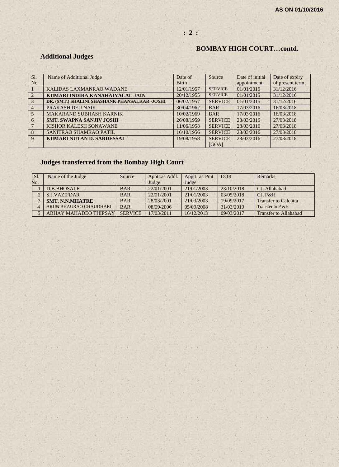## **: 2 :**

## **BOMBAY HIGH COURT…contd.**

# **Additional Judges**

| SI.            | Name of Additional Judge                      | Date of      | Source         | Date of initial | Date of expiry  |
|----------------|-----------------------------------------------|--------------|----------------|-----------------|-----------------|
| No.            |                                               | <b>Birth</b> |                | appointment     | of present term |
|                | KALIDAS LAXMANRAO WADANE                      | 12/01/1957   | <b>SERVICE</b> | 01/01/2015      | 31/12/2016      |
| $\mathcal{L}$  | KUMARI INDIRA KANAHAIYALAL JAIN               | 20/12/1955   | <b>SERVICE</b> | 01/01/2015      | 31/12/2016      |
| $\mathcal{R}$  | DR. (SMT.) SHALINI SHASHANK PHANSALKAR -JOSHI | 06/02/1957   | <b>SERVICE</b> | 01/01/2015      | 31/12/2016      |
| $\overline{4}$ | PRAKASH DEU NAIK                              | 30/04/1962   | <b>BAR</b>     | 17/03/2016      | 16/03/2018      |
| $\overline{5}$ | <b>MAKARAND SUBHASH KARNIK</b>                | 10/02/1969   | <b>BAR</b>     | 17/03/2016      | 16/03/2018      |
| 6              | <b>SMT. SWAPNA SANJIV JOSHI</b>               | 26/08/1959   | <b>SERVICE</b> | 28/03/2016      | 27/03/2018      |
|                | KISHOR KALESH SONAWANE                        | 11/06/1958   | <b>SERVICE</b> | 28/03/2016      | 27/03/2018      |
| $\mathbf{8}$   | SANITRAO SHAMRAO PATIL                        | 16/10/1956   | <b>SERVICE</b> | 28/03/2016      | 27/03/2018      |
| 9              | <b>KUMARI NUTAN D. SARDESSAI</b>              | 19/08/1958   | <b>SERVICE</b> | 28/03/2016      | 27/03/2018      |
|                |                                               |              | [GOA]          |                 |                 |

# **Judges transferred from the Bombay High Court**

| SI. | Name of the Judge            | Source         | Apptt.as Addl. | Apptt. as Pmt. | <b>DOR</b> | Remarks                      |
|-----|------------------------------|----------------|----------------|----------------|------------|------------------------------|
| No. |                              |                | Judge          | Judge          |            |                              |
|     | D.B.BHOSALE                  | <b>BAR</b>     | 22/01/2001     | 21/01/2003     | 23/10/2018 | CJ, Allahabad                |
|     | <b>S.J.VAZIFDAR</b>          | <b>BAR</b>     | 22/01/2001     | 21/01/2003     | 03/05/2018 | CI. P&H                      |
|     | <b>SMT. N.N.MHATRE</b>       | <b>BAR</b>     | 28/03/2001     | 21/03/2003     | 19/09/2017 | <b>Transfer to Calcutta</b>  |
|     | ARUN BHAURAO CHAUDHARI       | <b>BAR</b>     | 08/09/2006     | 05/09/2008     | 31/03/2019 | Transfer to P & H            |
|     | <b>ABHAY MAHADEO THIPSAY</b> | <b>SERVICE</b> | 17/03/2011     | 16/12/2013     | 09/03/2017 | <b>Transfer to Allahabad</b> |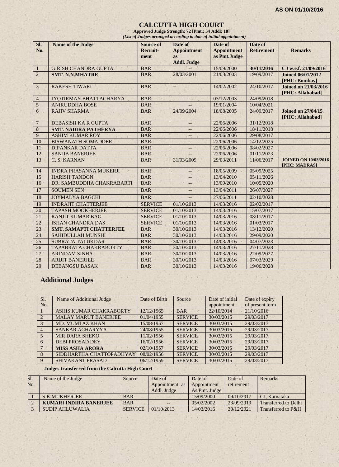## **CALCUTTA HIGH COURT**

**Approved Judge Strength: 72 [Pmt.: 54 Addl: 18]** *(List of Judges arranged according to date of initial appointment)*

| SI.<br>No.       | <b>Name of the Judge</b>       | <b>Source of</b><br>Recruit-<br>ment | Date of<br><b>Appointment</b><br><b>as</b><br><b>Addl. Judge</b> | Date of<br><b>Appointment</b><br>as Pmt.Judge | Date of<br><b>Retirement</b> | <b>Remarks</b>                                  |
|------------------|--------------------------------|--------------------------------------|------------------------------------------------------------------|-----------------------------------------------|------------------------------|-------------------------------------------------|
| 1                | <b>GIRISH CHANDRA GUPTA</b>    | <b>BAR</b>                           |                                                                  | 15/09/2000                                    | 30/11/2016                   | CJ w.e.f. 21/09/2016                            |
| $\overline{2}$   | <b>SMT. N.N.MHATRE</b>         | <b>BAR</b>                           | 28/03/2001                                                       | 21/03/2003                                    | 19/09/2017                   | <b>Joined 06/01/2012</b><br>[PHC: Bombay]       |
| 3                | <b>RAKESH TIWARI</b>           | <b>BAR</b>                           | $-$                                                              | 14/02/2002                                    | 24/10/2017                   | <b>Joined on 21/03/2016</b><br>[PHC: Allahabad] |
| $\overline{4}$   | JYOTIRMAY BHATTACHARYA         | <b>BAR</b>                           | ÷-.                                                              | 03/12/2003                                    | 24/09/2018                   |                                                 |
| 5                | <b>ANIRUDDHA BOSE</b>          | <b>BAR</b>                           |                                                                  | 19/01/2004                                    | 10/04/2021                   |                                                 |
| $6 \overline{6}$ | <b>RAJIV SHARMA</b>            | <b>BAR</b>                           | 24/09/2004                                                       | 18/08/2005                                    | 24/09/2017                   | <b>Joined on 27/04/15</b><br>[PHC: Allahabad]   |
| $\overline{7}$   | <b>DEBASISH KA R GUPTA</b>     | <b>BAR</b>                           | $- -$                                                            | 22/06/2006                                    | 31/12/2018                   |                                                 |
| $\,8\,$          | <b>SMT. NADIRA PATHERYA</b>    | <b>BAR</b>                           | --                                                               | 22/06/2006                                    | 18/11/2018                   |                                                 |
| 9                | <b>ASHIM KUMAR ROY</b>         | <b>BAR</b>                           | --                                                               | 22/06/2006                                    | 29/08/2017                   |                                                 |
| 10               | <b>BISWANATH SOMADDER</b>      | <b>BAR</b>                           | --                                                               | 22/06/2006                                    | 14/12/2025                   |                                                 |
| 11               | <b>DIPANKAR DATTA</b>          | <b>BAR</b>                           | $--$                                                             | 22/06/2006                                    | 08/02/2027                   |                                                 |
| 12               | <b>SANJIB BANERJEE</b>         | <b>BAR</b>                           | 44                                                               | 22/06/2006                                    | 01/11/2023                   |                                                 |
| 13               | C. S. KARNAN                   | <b>BAR</b>                           | 31/03/2009                                                       | 29/03/2011                                    | 11/06/2017                   | <b>JOINED ON 10/03/2016</b><br>[PHC: MADRAS]    |
| 14               | <b>INDRA PRASANNA MUKERJI</b>  | <b>BAR</b>                           |                                                                  | 18/05/2009                                    | 05/09/2025                   |                                                 |
| 15               | <b>HARISH TANDON</b>           | <b>BAR</b>                           |                                                                  | 13/04/2010                                    | 05/11/2026                   |                                                 |
| 16               | DR. SAMBUDDHA CHAKRABARTI      | <b>BAR</b>                           | $-$                                                              | 13/09/2010                                    | 10/05/2020                   |                                                 |
| 17               | <b>SOUMEN SEN</b>              | <b>BAR</b>                           | --                                                               | 13/04/2011                                    | 26/07/2027                   |                                                 |
| 18               | <b>JOYMALYA BAGCHI</b>         | <b>BAR</b>                           | $\overline{\phantom{0}}$                                         | 27/06/2011                                    | 02/10/2028                   |                                                 |
| 19               | <b>INDRAJIT CHATTERJEE</b>     | <b>SERVICE</b>                       | 01/10/2013                                                       | 14/03/2016                                    | 02/02/2017                   |                                                 |
| 20               | <b>TAPASH MOOKHERJEE</b>       | <b>SERVICE</b>                       | 01/10/2013                                                       | 14/03/2016                                    | 15/07/2017                   |                                                 |
| 21               | <b>RANJIT KUMAR BAG</b>        | <b>SERVICE</b>                       | 01/10/2013                                                       | 14/03/2016                                    | 08/11/2017                   |                                                 |
| 22               | <b>ISHAN CHANDRA DAS</b>       | <b>SERVICE</b>                       | 01/10/2013                                                       | 14/03/2016                                    | 01/03/2017                   |                                                 |
| 23               | <b>SMT. SAMAPTI CHATTERJEE</b> | <b>BAR</b>                           | 30/10/2013                                                       | 14/03/2016                                    | 13/12/2020                   |                                                 |
| 24               | SAHIDULLAH MUNSHI              | <b>BAR</b>                           | 30/10/2013                                                       | 14/03/2016                                    | 29/09/2020                   |                                                 |
| 25               | <b>SUBRATA TALUKDAR</b>        | <b>BAR</b>                           | 30/10/2013                                                       | 14/03/2016                                    | 04/07/2023                   |                                                 |
| 26               | <b>TAPABRATA CHAKRABORTY</b>   | <b>BAR</b>                           | 30/10/2013                                                       | 14/03/2016                                    | 27/11/2028                   |                                                 |
| 27               | <b>ARINDAM SINHA</b>           | <b>BAR</b>                           | 30/10/2013                                                       | 14/03/2016                                    | 22/09/2027                   |                                                 |
| 28               | <b>ARIJIT BANERJEE</b>         | <b>BAR</b>                           | 30/10/2013                                                       | 14/03/2016                                    | 07/03/2029                   |                                                 |
| 29               | <b>DEBANGSU BASAK</b>          | <b>BAR</b>                           | 30/10/2013                                                       | 14/03/2016                                    | 19/06/2028                   |                                                 |

# **Additional Judges**

| Sl.            | Name of Additional Judge    | Date of Birth | Source         | Date of initial | Date of expiry  |
|----------------|-----------------------------|---------------|----------------|-----------------|-----------------|
| No.            |                             |               |                | appointment     | of present term |
|                | ASHIS KUMAR CHAKRABORTY     | 12/12/1965    | <b>BAR</b>     | 22/10/2014      | 21/10/2016      |
|                | <b>MALAY MARUT BANERJEE</b> | 01/04/1955    | <b>SERVICE</b> | 30/03/2015      | 29/03/2017      |
| $3 -$          | <b>MD. MUMTAZ KHAN</b>      | 15/08/1957    | <b>SERVICE</b> | 30/03/2015      | 29/03/2017      |
| $\overline{4}$ | SANKAR ACHARYYA             | 24/08/1955    | <b>SERVICE</b> | 30/03/2015      | 29/03/2017      |
|                | <b>MIR DARA SHEKO</b>       | 11/02/1956    | <b>SERVICE</b> | 30/03/2015      | 29/03/2017      |
| 6              | <b>DEBI PROSAD DEY</b>      | 16/02/1956    | <b>SERVICE</b> | 30/03/2015      | 29/03/2017      |
|                | <b>MISS ASHA ARORA</b>      | 02/10/1957    | <b>SERVICE</b> | 30/03/2015      | 29/03/2017      |
| 8              | SIDDHARTHA CHATTOPADHYAY    | 08/02/1956    | <b>SERVICE</b> | 30/03/2015      | 29/03/2017      |
| 9              | <b>SHIVAKANT PRASAD</b>     | 06/12/1959    | <b>SERVICE</b> | 30/03/2015      | 29/03/2017      |

## **Judges transferred from the Calcutta High Court**

| <b>S1.</b> | Name of the Judge             | Source         | Date of        | Date of       | Date of    | Remarks                     |
|------------|-------------------------------|----------------|----------------|---------------|------------|-----------------------------|
| No.        |                               |                | Appointment as | Appointment   | retirement |                             |
|            |                               |                | Addl. Judge    | As Pmt. Judge |            |                             |
|            | S.K.MUKHERJEE                 | <b>BAR</b>     |                | 15/09/2000    | 09/10/2017 | CJ. Karnataka               |
|            | <b>KUMARI INDIRA BANERJEE</b> | <b>BAR</b>     |                | 0.5/02/2002   | 23/09/2019 | <b>Transferred to Delhi</b> |
|            | <b>SUDIP AHLUWALIA</b>        | <b>SERVICE</b> | 01/10/2013     | 14/03/2016    | 30/12/2021 | Transferred to P&H          |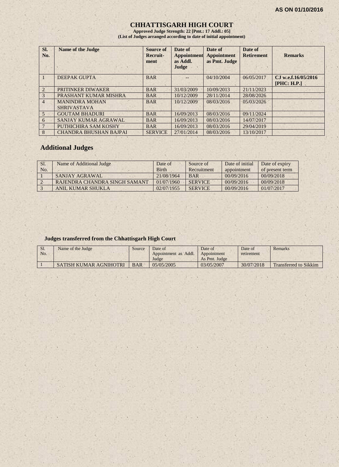## **CHHATTISGARH HIGH COURT**

**Approved Judge Strength: 22 [Pmt.: 17 Addl.: 05] (List of Judges arranged according to date of initial appointment)**

| SI.<br>No.     | <b>Name of the Judge</b>                    | <b>Source of</b><br>Recruit-<br>ment | Date of<br><b>Appointment</b><br>as Addl.<br>Judge | Date of<br><b>Appointment</b><br>as Pmt. Judge | Date of<br><b>Retirement</b> | <b>Remarks</b>                      |
|----------------|---------------------------------------------|--------------------------------------|----------------------------------------------------|------------------------------------------------|------------------------------|-------------------------------------|
|                | <b>DEEPAK GUPTA</b>                         | <b>BAR</b>                           |                                                    | 04/10/2004                                     | 06/05/2017                   | C.I w.e.f.16/05/2016<br>[PHC: H.P.] |
| $\mathfrak{D}$ | PRITINKER DIWAKER                           | <b>BAR</b>                           | 31/03/2009                                         | 10/09/2013                                     | 21/11/2023                   |                                     |
| 3              | PRASHANT KUMAR MISHRA                       | <b>BAR</b>                           | 10/12/2009                                         | 28/11/2014                                     | 28/08/2026                   |                                     |
| $\overline{4}$ | <b>MANINDRA MOHAN</b><br><b>SHRIVASTAVA</b> | <b>BAR</b>                           | 10/12/2009                                         | 08/03/2016                                     | 05/03/2026                   |                                     |
| $\overline{5}$ | <b>GOUTAM BHADURI</b>                       | <b>BAR</b>                           | 16/09/2013                                         | 08/03/2016                                     | 09/11/2024                   |                                     |
| 6              | SANJAY KUMAR AGRAWAL                        | <b>BAR</b>                           | 16/09/2013                                         | 08/03/2016                                     | 14/07/2017                   |                                     |
| 7              | PUTHICHIRA SAM KOSHY                        | <b>BAR</b>                           | 16/09/2013                                         | 08/03/2016                                     | 29/04/2019                   |                                     |
| 8              | <b>CHANDRA BHUSHAN BAJPAI</b>               | <b>SERVICE</b>                       | 27/01/2014                                         | 08/03/2016                                     | 13/10/2017                   |                                     |

## **Additional Judges**

| Sl. | Name of Additional Judge      | Date of      | Source of      | Date of initial | Date of expiry  |
|-----|-------------------------------|--------------|----------------|-----------------|-----------------|
| No. |                               | <b>Birth</b> | Recruitment    | appointment     | of present term |
|     | SANJAY AGRAWAL                | 21/08/1964   | <b>BAR</b>     | 00/09/2016      | 00/09/2018      |
|     | RAJENDRA CHANDRA SINGH SAMANT | 01/07/1960   | <b>SERVICE</b> | 00/09/2016      | 00/09/2018      |
|     | ANIL KUMAR SHUKLA             | 02/07/1955   | <b>SERVICE</b> | 00/09/2016      | 01/07/2017      |

#### **Judges transferred from the Chhattisgarh High Court**

| S1. | Name of the Judge      | Source     | Date of              | Date of       | Date of    | Remarks                      |
|-----|------------------------|------------|----------------------|---------------|------------|------------------------------|
| No. |                        |            | Appointment as Addl. | Appointment   | retirement |                              |
|     |                        |            | Judge                | As Pmt. Judge |            |                              |
|     | SATISH KUMAR AGNIHOTRI | <b>BAR</b> | 05/05/2005           | 03/05/2007    | 30/07/2018 | <b>Transferred to Sikkim</b> |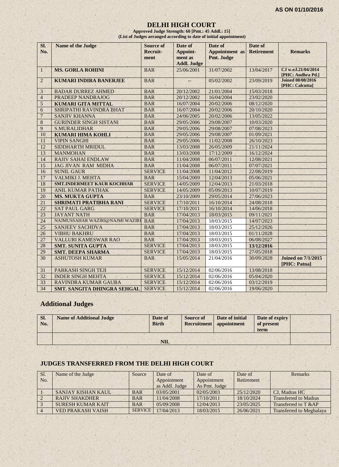## **DELHI HIGH COURT**

**Approved Judge Strength: 60 [Pmt.: 45 Addl.: 15] (List of Judges arranged according to date of initial appointment)**

| SI.             | <b>Name of the Judge</b>          | <b>Source of</b>        | Date of                                   | Date of                             | Date of           |                                             |
|-----------------|-----------------------------------|-------------------------|-------------------------------------------|-------------------------------------|-------------------|---------------------------------------------|
| No.             |                                   | <b>Recruit-</b><br>ment | Appoint-<br>ment as<br><b>Addl. Judge</b> | <b>Appointment</b> as<br>Pmt. Judge | <b>Retirement</b> | <b>Remarks</b>                              |
| $\mathbf{1}$    | <b>MS. GORLA ROHINI</b>           | <b>BAR</b>              | 25/06/2001                                | 31/07/2002                          | 13/04/2017        | CJ w.e.f.21/04/2014<br>[PHC: Andhra Pd.]    |
| $\overline{2}$  | <b>KUMARI INDIRA BANERJEE</b>     | <b>BAR</b>              | $-$                                       | 05/02/2002                          | 23/09/2019        | <b>Joined 08/08/2016</b><br>[PHC: Calcutta] |
| $\mathfrak{Z}$  | <b>BADAR DURREZ AHMED</b>         | <b>BAR</b>              | 20/12/2002                                | 21/01/2004                          | 15/03/2018        |                                             |
| $\overline{4}$  | <b>PRADEEP NANDRAJOG</b>          | <b>BAR</b>              | 20/12/2002                                | 16/04/2004                          | 23/02/2020        |                                             |
| 5               | <b>KUMARI GITA MITTAL</b>         | <b>BAR</b>              | 16/07/2004                                | 20/02/2006                          | 08/12/2020        |                                             |
| 6               | SHRIPATHI RAVINDRA BHAT           | <b>BAR</b>              | 16/07/2004                                | 20/02/2006                          | 20/10/2020        |                                             |
| $\overline{7}$  | <b>SANJIV KHANNA</b>              | <b>BAR</b>              | 24/06/2005                                | 20/02/2006                          | 13/05/2022        |                                             |
| 8               | <b>GURINDER SINGH SISTANI</b>     | <b>BAR</b>              | 29/05/2006                                | 29/08/2007                          | 10/03/2020        |                                             |
| $\mathbf{Q}$    | <b>S.MURALIDHAR</b>               | <b>BAR</b>              | 29/05/2006                                | 29/08/2007                          | 07/08/2023        |                                             |
| 10              | <b>KUMARI HIMA KOHLI</b>          | <b>BAR</b>              | 29/05/2006                                | 29/08/2007                          | 01/09/2021        |                                             |
| 11              | <b>VIPIN SANGHI</b>               | <b>BAR</b>              | 29/05/2006                                | 11/02/2008                          | 26/10/2023        |                                             |
| 12              | SIDDHARTH MRIDUL                  | <b>BAR</b>              | 13/03/2008                                | 26/05/2009                          | 21/11/2024        |                                             |
| 13              | <b>MANMOHAN</b>                   | <b>BAR</b>              | 13/03/2008                                | 17/12/2009                          | 16/12/2024        |                                             |
| 14              | <b>RAJIV SAHAI ENDLAW</b>         | <b>BAR</b>              | 11/04/2008                                | 06/07/2011                          | 12/08/2021        |                                             |
| 15              | <b>JAG JIVAN RAM MIDHA</b>        | <b>BAR</b>              | 11/04/2008                                | 06/07/2011                          | 07/07/2021        |                                             |
| 16              | <b>SUNIL GAUR</b>                 | <b>SERVICE</b>          | 11/04/2008                                | 11/04/2012                          | 22/08/2019        |                                             |
| 17              | <b>VALMIKI J. MEHTA</b>           | <b>BAR</b>              | 15/04/2009                                | 12/04/2013                          | 05/06/2021        |                                             |
| 18              | <b>SMT.INDERMEET KAUR KOCHHAR</b> | <b>SERVICE</b>          | 14/05/2009                                | 12/04/2013                          | 21/03/2018        |                                             |
| 19              | <b>ANIL KUMAR PATHAK</b>          | <b>SERVICE</b>          | 14/05/2009                                | 05/09/2013                          | 10/07/2019        |                                             |
| 20              | <b>MS. MUKTA GUPTA</b>            | <b>BAR</b>              | 23/10/2009                                | 29/05/2014                          | 27/06/2023        |                                             |
| 21              | <b>SHRIMATI PRATIBHA RANI</b>     | <b>SERVICE</b>          | 17/10/2011                                | 16/10/2014                          | 24/08/2018        |                                             |
| 22              | <b>SAT PAUL GARG</b>              | <b>SERVICE</b>          | 17/10/2011                                | 16/10/2014                          | 14/06/2018        |                                             |
| 23              | <b>JAYANT NATH</b>                | <b>BAR</b>              | 17/04/2013                                | 18/03/2015                          | 09/11/2021        |                                             |
| 24              | NAJMUSSAHAR WAZIRI@NAJMI WAZIRI   | <b>BAR</b>              | 17/04/2013                                | 18/03/2015                          | 14/07/2023        |                                             |
| $\overline{25}$ | <b>SANJEEV SACHDVA</b>            | <b>BAR</b>              | 17/04/2013                                | 18/03/2015                          | 25/12/2026        |                                             |
| 26              | <b>VIBHU BAKHRU</b>               | <b>BAR</b>              | 17/04/2013                                | 18/03/2015                          | 01/11/2028        |                                             |
| $\overline{27}$ | <b>VALLURI KAMESWAR RAO</b>       | <b>BAR</b>              | 17/04/2013                                | 18/03/2015                          | 06/08/2027        |                                             |
| 28              | <b>SMT. SUNITA GUPTA</b>          | <b>SERVICE</b>          | 17/04/2013                                | 18/03/2015                          | 13/12/2016        |                                             |
| 29              | <b>SMT. DEEPA SHARMA</b>          | <b>SERVICE</b>          | 17/04/2013                                | 18/03/2015                          | 27/05/2018        |                                             |
| 30              | <b>ASHUTOSH KUMAR</b>             | <b>BAR</b>              | 15/05/2014                                | 21/04/2016                          | 30/09/2028        | <b>Joined on 7/1/2015</b><br>[PHC: Patna]   |
| 31              | PARKASH SINGH TEJI                | <b>SERVICE</b>          | 15/12/2014                                | 02/06/2016                          | 13/08/2018        |                                             |
| 32              | <b>INDER SINGH MEHTA</b>          | <b>SERVICE</b>          | 15/12/2014                                | 02/06/2016                          | 05/04/2020        |                                             |
| 33              | <b>RAVINDRA KUMAR GAUBA</b>       | <b>SERVICE</b>          | 15/12/2014                                | 02/06/2016                          | 03/12/2019        |                                             |
| 34              | SMT. SANGITA DHINGRA SEHGAL       | <b>SERVICE</b>          | 15/12/2014                                | 02/06/2016                          | 19/06/2020        |                                             |

## **Additional Judges**

| SI.<br>No. | <b>Name of Additional Judge</b> | Date of<br><b>Birth</b> | <b>Source of</b> | Date of initial<br>Recruitment appointment | Date of expiry<br>of present<br>term |  |
|------------|---------------------------------|-------------------------|------------------|--------------------------------------------|--------------------------------------|--|
|            |                                 | $\mathbf{NIL}$          |                  |                                            |                                      |  |

## **JUDGES TRANSFERRED FROM THE DELHI HIGH COURT**

| Sl. | Name of the Judge        | Source         | Date of        | Date of                   | Date of    | Remarks                         |
|-----|--------------------------|----------------|----------------|---------------------------|------------|---------------------------------|
| No. |                          |                | Appointment    | Retirement<br>Appointment |            |                                 |
|     |                          |                | as Addl. Judge | As Pmt. Judge             |            |                                 |
|     | SANJAY KISHAN KAUL       | <b>BAR</b>     | 03/05/2001     | 02/05/2003                | 25/12/2020 | CJ, Madras HC                   |
|     | <b>RAJIV SHAKDHER</b>    | <b>BAR</b>     | 11/04/2008     | 17/10/2011                | 18/10/2024 | <b>Transferred to Madras</b>    |
|     | <b>SURESH KUMAR KAIT</b> | <b>BAR</b>     | 05/09/2008     | 12/04/2013                | 23/05/2025 | Transferred to T &AP            |
|     | <b>VED PRAKASH VAISH</b> | <b>SERVICE</b> | 17/04/2013     | 18/03/2015                | 26/06/2021 | <b>Transferred to Meghalaya</b> |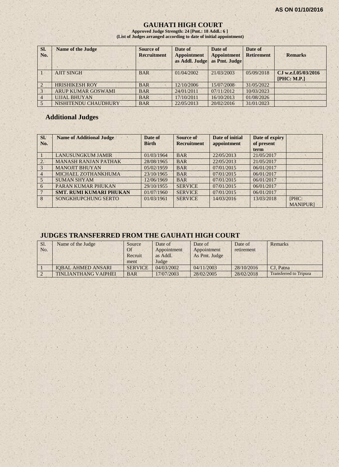## **GAUHATI HIGH COURT**

**Approved Judge Strength: 24 [Pmt.: 18 Addl.: 6 ] (List of Judges arranged according to date of initial appointment)**

| SI.<br>No.     | <b>Name of the Judge</b>  | <b>Source of</b><br><b>Recruitment</b> | Date of<br><b>Appointment</b><br>as Addl. Judge | Date of<br><b>Appointment</b><br>as Pmt. Judge | Date of<br><b>Retirement</b> | <b>Remarks</b>      |
|----------------|---------------------------|----------------------------------------|-------------------------------------------------|------------------------------------------------|------------------------------|---------------------|
|                | <b>AJIT SINGH</b>         | <b>BAR</b>                             | 01/04/2002                                      | 21/03/2003                                     | 05/09/2018                   | CJ w.e.f.05/03/2016 |
|                |                           |                                        |                                                 |                                                |                              | [PHC: M.P.]         |
| $\mathcal{L}$  | <b>HRISHIKESH ROY</b>     | <b>BAR</b>                             | 12/10/2006                                      | 15/07/2008                                     | 31/05/2022                   |                     |
| 3              | <b>ARUP KUMAR GOSWAMI</b> | <b>BAR</b>                             | 24/01/2011                                      | 07/11/2012                                     | 10/03/2023                   |                     |
| $\overline{4}$ | <b>UJJAL BHUYAN</b>       | <b>BAR</b>                             | 17/10/2011                                      | 16/10/2013                                     | 01/08/2026                   |                     |
|                | NISHITENDU CHAUDHURY      | <b>BAR</b>                             | 22/05/2013                                      | 20/02/2016                                     | 31/01/2023                   |                     |

#### **Additional Judges**

| Sl.<br>No.     | <b>Name of Additional Judge</b> | Date of<br><b>Birth</b> | Source of<br><b>Recruitment</b> | Date of initial<br>appointment | Date of expiry<br>of present<br>term |                 |
|----------------|---------------------------------|-------------------------|---------------------------------|--------------------------------|--------------------------------------|-----------------|
|                | <b>LANUSUNGKUM JAMIR</b>        | 01/03/1964              | <b>BAR</b>                      | 22/05/2013                     | 21/05/2017                           |                 |
| 2.             | <b>MANASH RANJAN PATHAK</b>     | 28/08/1965              | <b>BAR</b>                      | 22/05/2013                     | 21/05/2017                           |                 |
| 3              | <b>MANOJIT BHUYAN</b>           | 05/02/1959              | <b>BAR</b>                      | 07/01/2015                     | 06/01/2017                           |                 |
| $\overline{4}$ | MICHAEL ZOTHANKHUMA             | 23/10/1965              | <b>BAR</b>                      | 07/01/2015                     | 06/01/2017                           |                 |
| 5              | <b>SUMAN SHYAM</b>              | 12/06/1969              | <b>BAR</b>                      | 07/01/2015                     | 06/01/2017                           |                 |
| 6              | PARAN KUMAR PHUKAN              | 29/10/1955              | <b>SERVICE</b>                  | 07/01/2015                     | 06/01/2017                           |                 |
|                | <b>SMT. RUMI KUMARI PHUKAN</b>  | 01/07/1960              | <b>SERVICE</b>                  | 07/01/2015                     | 06/01/2017                           |                 |
| 8              | SONGKHUPCHUNG SERTO             | 01/03/1961              | <b>SERVICE</b>                  | 14/03/2016                     | 13/03/2018                           | [PHC:           |
|                |                                 |                         |                                 |                                |                                      | <b>MANIPURI</b> |

## **JUDGES TRANSFERRED FROM THE GAUHATI HIGH COURT**

| Sl.<br>No. | Name of the Judge           | Source<br>Of<br>Recruit<br>ment | Date of<br>Appointment<br>as Addl.<br>Judge | Date of<br>Appointment<br>As Pmt. Judge | Date of<br>retirement | <b>Remarks</b>                |
|------------|-----------------------------|---------------------------------|---------------------------------------------|-----------------------------------------|-----------------------|-------------------------------|
|            | <b>IOBAL AHMED ANSARI</b>   | <b>SERVICE</b>                  | 04/03/2002                                  | 04/11/2003                              | 28/10/2016            | CJ. Patna                     |
|            | <b>TINLIANTHANG VAIPHEI</b> | <b>BAR</b>                      | 17/07/2003                                  | 28/02/2005                              | 28/02/2018            | <b>Transferred to Tripura</b> |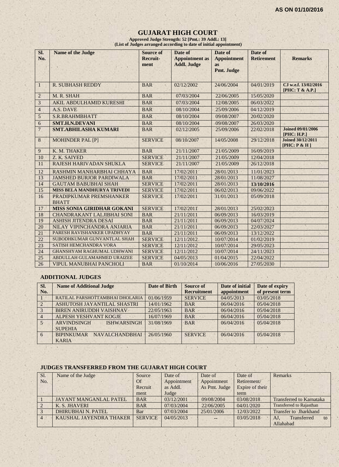## **GUJARAT HIGH COURT**

**Approved Judge Strength: 52 [Pmt.: 39 Addl.: 13] (List of Judges arranged according to date of initial appointment)**

| SI.<br>No.      | <b>Name of the Judge</b>                | <b>Source of</b><br><b>Recruit-</b><br>ment | Date of<br><b>Appointment</b> as<br><b>Addl. Judge</b> | Date of<br><b>Appointment</b><br><b>as</b><br>Pmt. Judge | Date of<br><b>Retirement</b> | <b>Remarks</b>                           |
|-----------------|-----------------------------------------|---------------------------------------------|--------------------------------------------------------|----------------------------------------------------------|------------------------------|------------------------------------------|
| $\mathbf{1}$    | <b>R. SUBHASH REDDY</b>                 | <b>BAR</b>                                  | 02/12/2002                                             | 24/06/2004                                               | 04/01/2019                   | CJ w.e.f. 13/02/2016<br>[PHC: T & A.P.]  |
| $\sqrt{2}$      | M. R. SHAH                              | <b>BAR</b>                                  | 07/03/2004                                             | 22/06/2005                                               | 15/05/2020                   |                                          |
| $\overline{3}$  | <b>AKIL ABDULHAMID KURESHI</b>          | <b>BAR</b>                                  | 07/03/2004                                             | 12/08/2005                                               | 06/03/2022                   |                                          |
| $\overline{4}$  | A.S. DAVE                               | <b>BAR</b>                                  | 08/10/2004                                             | 25/09/2006                                               | 04/12/2019                   |                                          |
| $\sqrt{5}$      | S.R.BRAHMBHATT                          | <b>BAR</b>                                  | 08/10/2004                                             | 09/08/2007                                               | 20/02/2020                   |                                          |
| $\mathbf{6}$    | SMT.H.N.DEVANI                          | <b>BAR</b>                                  | 08/10/2004                                             | 09/08/2007                                               | 26/03/2020                   |                                          |
| $\overline{7}$  | <b>SMT.ABHILASHA KUMARI</b>             | <b>BAR</b>                                  | 02/12/2005                                             | 25/09/2006                                               | 22/02/2018                   | <b>Joined 09/01/2006</b><br>[PHC: H.P.]  |
| $\,8\,$         | <b>MOHINDER PAL [P]</b>                 | <b>SERVICE</b>                              | 08/10/2007                                             | 14/05/2008                                               | 29/12/2018                   | <b>Joined 30/12/2011</b><br>[PHC: P & H] |
| $\overline{9}$  | K. M. THAKER                            | <b>BAR</b>                                  | 21/11/2007                                             | 21/05/2009                                               | 16/09/2019                   |                                          |
| 10              | Z. K. SAIYED                            | <b>SERVICE</b>                              | 21/11/2007                                             | 21/05/2009                                               | 12/04/2018                   |                                          |
| 11              | RAJESH HARIVADAN SHUKLA                 | <b>SERVICE</b>                              | 21/11/2007                                             | 21/05/2009                                               | 26/12/2018                   |                                          |
| 12              | RASHMIN MANHARBHAI CHHAYA               | <b>BAR</b>                                  | 17/02/2011                                             | 28/01/2013                                               | 11/01/2023                   |                                          |
| 13              | <b>JAMSHED BURJOR PARDIWALA</b>         | <b>BAR</b>                                  | 17/02/2011                                             | 28/01/2013                                               | 11/08/2027                   |                                          |
| 14 <sup>°</sup> | <b>GAUTAM BABUBHAI SHAH</b>             | <b>SERVICE</b>                              | 17/02/2011                                             | 28/01/2013                                               | 13/10/2016                   |                                          |
| 15              | <b>MISS BELA MANDHURYA TRIVEDI</b>      | <b>SERVICE</b>                              | 17/02/2011                                             | 06/02/2013                                               | 09/06/2022                   |                                          |
| 16              | PRADIPKUMAR PREMSHANKER<br><b>BHATT</b> | <b>SERVICE</b>                              | 17/02/2011                                             | 31/01/2013                                               | 05/09/2018                   |                                          |
| 17              | <b>MISS SONIA GIRIDHAR GOKANI</b>       | <b>SERVICE</b>                              | 17/02/2011                                             | 28/01/2013                                               | 25/02/2023                   |                                          |
| 18              | <b>CHANDRAKANT LALJIBHAI SONI</b>       | <b>BAR</b>                                  | 21/11/2011                                             | 06/09/2013                                               | 16/03/2019                   |                                          |
| 19              | <b>ASHISH JITENDRA DESAI</b>            | <b>BAR</b>                                  | 21/11/2011                                             | 06/09/2013                                               | 04/07/2024                   |                                          |
| 20              | NILAY VIPINCHANDRA ANJARIA              | <b>BAR</b>                                  | 21/11/2011                                             | 06/09/2013                                               | 22/03/2027                   |                                          |
| 21              | PARESH RAVISHANKER UPADHYAY             | <b>BAR</b>                                  | 21/11/2011                                             | 06/09/2013                                               | 13/12/2022                   |                                          |
| 22              | SUBODHKUMAR GUNVANTLAL SHAH             | <b>SERVICE</b>                              | 12/11/2012                                             | 10/07/2014                                               | 01/02/2019                   |                                          |
| 23              | SATISH HEMCHANDRA VORA                  | <b>SERVICE</b>                              | 12/11/2012                                             | 10/07/2014                                               | 29/05/2023                   |                                          |
| 24              | <b>GHANSHYAM RAGHUMAL UDHWANI</b>       | <b>SERVICE</b>                              | 12/11/2012                                             | 10/07/2014                                               | 24/11/2023                   |                                          |
| 25              | ABDULLAH GULAMAHMED URAIZEE             | <b>SERVICE</b>                              | 04/05/2013                                             | 01/04/2015                                               | 22/04/2022                   |                                          |
| 26              | VIPUL MANUBHAI PANCHOLI                 | <b>BAR</b>                                  | 01/10/2014                                             | 10/06/2016                                               | 27/05/2030                   |                                          |

#### **ADDITIONAL JUDGES**

| SI.            | <b>Name of Additional Judge</b>                            | Date of Birth | Source of          | Date of initial | Date of expiry  |
|----------------|------------------------------------------------------------|---------------|--------------------|-----------------|-----------------|
| No.            |                                                            |               | <b>Recruitment</b> | appointment     | of present term |
|                | RATILAL PARSHOTTAMBHAI DHOLARIA                            | 01/06/1959    | <b>SERVICE</b>     | 04/05/2013      | 03/05/2018      |
| $\sqrt{2}$     | ASHUTOSH JAYANTILAL SHASTRI                                | 14/01/1962    | <b>BAR</b>         | 06/04/2016      | 05/04/2018      |
| $\overline{3}$ | <b>BIREN ANIRUDDH VAISHNAV</b>                             | 22/05/1963    | <b>BAR</b>         | 06/04/2016      | 05/04/2018      |
| $\overline{4}$ | <b>ALPESH YESHVANT KOGJE</b>                               | 16/07/1969    | <b>BAR</b>         | 06/04/2016      | 05/04/2018      |
| $5 -$          | <b>ARVINDSINGH</b><br><b>ISHWARSINGH</b><br><b>SUPEHIA</b> | 31/08/1969    | <b>BAR</b>         | 06/04/2016      | 05/04/2018      |
| 6 <sup>6</sup> | <b>BIPINKUMAR</b><br><b>NAVALCHANDBHAI</b><br><b>KARIA</b> | 26/05/1960    | <b>SERVICE</b>     | 06/04/2016      | 05/04/2018      |

## **JUDGES TRANSFERRED FROM THE GUJARAT HIGH COURT**

| Sl.            | Name of the Judge              | Source         | Date of     | Date of       | Date of         | <b>Remarks</b>                  |
|----------------|--------------------------------|----------------|-------------|---------------|-----------------|---------------------------------|
| No.            |                                | <b>Of</b>      | Appointment | Appointment   | Retirement/     |                                 |
|                |                                | Recruit        | as Addl.    | As Pmt. Judge | Expire of their |                                 |
|                |                                | ment           | Judge       |               | term            |                                 |
|                | <b>JAYANT MANGANLAL PATEL</b>  | <b>BAR</b>     | 03/12/2001  | 09/08/2004    | 03/08/2018      | <b>Transferred to Karnataka</b> |
|                | K. S. JHAVERI                  | <b>BAR</b>     | 07/03/2004  | 22/06/2005    | 04/01/2020      | <b>Transferred to Rajasthan</b> |
|                | <b>DHIRUBHAI N. PATEL</b>      | Bar            | 07/03/2004  | 25/01/2006    | 12/03/2022      | <b>Transfer to Jharkhand</b>    |
| $\overline{4}$ | <b>KAUSHAL JAYENDRA THAKER</b> | <b>SERVICE</b> | 04/05/2013  | $\sim$ $\sim$ | 03/05/2018      | Transferred<br>AJ.<br>to        |
|                |                                |                |             |               |                 | Allahabad                       |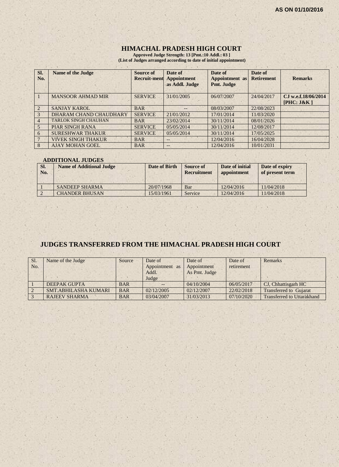## **HIMACHAL PRADESH HIGH COURT**

**Approved Judge Strength: 13 [Pmt.:10 Addl.: 03 ] (List of Judges arranged according to date of initial appointment)**

| Sl.<br>No. | <b>Name of the Judge</b>    | Source of<br><b>Recruit-ment</b> | Date of<br>Appointment<br>as Addl. Judge | Date of<br><b>Appointment</b> as<br>Pmt. Judge | Date of<br><b>Retirement</b> | <b>Remarks</b>                    |
|------------|-----------------------------|----------------------------------|------------------------------------------|------------------------------------------------|------------------------------|-----------------------------------|
|            | <b>MANSOOR AHMAD MIR</b>    | <b>SERVICE</b>                   | 31/01/2005                               | 06/07/2007                                     | 24/04/2017                   | CJ w.e.f.18/06/2014<br>[PHC: J&K] |
|            | <b>SANJAY KAROL</b>         | <b>BAR</b>                       | --                                       | 08/03/2007                                     | 22/08/2023                   |                                   |
| 3          | DHARAM CHAND CHAUDHARY      | <b>SERVICE</b>                   | 21/01/2012                               | 17/01/2014                                     | 11/03/2020                   |                                   |
|            | <b>TARLOK SINGH CHAUHAN</b> | <b>BAR</b>                       | 23/02/2014                               | 30/11/2014                                     | 08/01/2026                   |                                   |
| 5          | <b>PIAR SINGH RANA</b>      | <b>SERVICE</b>                   | 05/05/2014                               | 30/11/2014                                     | 12/08/2017                   |                                   |
| 6          | <b>SURESHWAR THAKUR</b>     | <b>SERVICE</b>                   | 05/05/2014                               | 30/11/2014                                     | 17/05/2025                   |                                   |
|            | <b>VIVEK SINGH THAKUR</b>   | <b>BAR</b>                       | $- -$                                    | 12/04/2016                                     | 16/04/2028                   |                                   |
| 8          | <b>AJAY MOHAN GOEL</b>      | <b>BAR</b>                       | $- -$                                    | 12/04/2016                                     | 10/01/2031                   |                                   |

#### **ADDITIONAL JUDGES**

| SI.<br>No. | <b>Name of Additional Judge</b> | Date of Birth | Source of<br><b>Recruitment</b> | Date of initial<br>appointment | Date of expiry<br>of present term |
|------------|---------------------------------|---------------|---------------------------------|--------------------------------|-----------------------------------|
|            | <b>SANDEEP SHARMA</b>           | 20/07/1968    | Bar                             | 12/04/2016                     | 11/04/2018                        |
|            | <b>CHANDER BHUSAN</b>           | 15/03/1961    | Service                         | 12/04/2016                     | 11/04/2018                        |

## **JUDGES TRANSFERRED FROM THE HIMACHAL PRADESH HIGH COURT**

| Sl.<br>No. | Name of the Judge           | Source     | Date of<br>Appointment as<br>Addl. | Date of<br>Appointment<br>As Pmt. Judge | Date of<br>retirement | Remarks                           |
|------------|-----------------------------|------------|------------------------------------|-----------------------------------------|-----------------------|-----------------------------------|
|            |                             |            | Judge                              |                                         |                       |                                   |
|            | <b>DEEPAK GUPTA</b>         | <b>BAR</b> |                                    | 04/10/2004                              | 06/05/2017            | CJ, Chhattisgarh HC               |
|            | <b>SMT.ABHILASHA KUMARI</b> | <b>BAR</b> | 02/12/2005                         | 02/12/2007                              | 22/02/2018            | <b>Transferred to Gujarat</b>     |
|            | <b>RAJEEV SHARMA</b>        | <b>BAR</b> | 03/04/2007                         | 31/03/2013                              | 07/10/2020            | <b>Transferred to Uttarakhand</b> |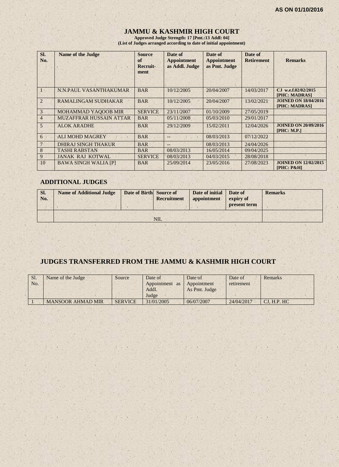# **JAMMU & KASHMIR HIGH COURT**

**Approved Judge Strength: 17 [Pmt.:13 Addl: 04] (List of Judges arranged according to date of initial appointment)**

| SI.<br>No.     | <b>Name of the Judge</b>       | <b>Source</b><br>of<br>Recruit-<br>ment | Date of<br><b>Appointment</b><br>as Addl. Judge | Date of<br><b>Appointment</b><br>as Pmt. Judge | Date of<br><b>Retirement</b> | <b>Remarks</b>                                       |
|----------------|--------------------------------|-----------------------------------------|-------------------------------------------------|------------------------------------------------|------------------------------|------------------------------------------------------|
|                | N.N.PAUL VASANTHAKUMAR         | <b>BAR</b>                              | 10/12/2005                                      | 20/04/2007                                     | 14/03/2017                   | CJ w.e.f.02/02/2015<br><b>[PHC: MADRAS]</b>          |
| 2              | <b>RAMALINGAM SUDHAKAR</b>     | <b>BAR</b>                              | 10/12/2005                                      | 20/04/2007                                     | 13/02/2021                   | <b>JOINED ON 18/04/2016</b><br>[PHC: MADRAS]         |
| 3              | <b>MOHAMMAD YAQOOB MIR</b>     | <b>SERVICE</b>                          | 23/11/2007                                      | 01/10/2009                                     | 27/05/2019                   |                                                      |
| $\overline{4}$ | <b>MUZAFFRAR HUSSAIN ATTAR</b> | <b>BAR</b>                              | 05/11/2008                                      | 05/03/2010                                     | 29/01/2017                   |                                                      |
| 5              | <b>ALOK ARADHE</b>             | <b>BAR</b>                              | 29/12/2009                                      | 15/02/2011                                     | 12/04/2026                   | <b>JOINED ON 20/09/2016</b><br><b>[PHC: M.P.]</b>    |
| 6              | <b>ALI MOHD MAGREY</b>         | <b>BAR</b>                              |                                                 | 08/03/2013                                     | 07/12/2022                   |                                                      |
| 7              | <b>DHIRAJ SINGH THAKUR</b>     | <b>BAR</b>                              |                                                 | 08/03/2013                                     | 24/04/2026                   |                                                      |
| 8              | <b>TASHI RABSTAN</b>           | <b>BAR</b>                              | 08/03/2013                                      | 16/05/2014                                     | 09/04/2025                   |                                                      |
| 9              | <b>JANAK RAJ KOTWAL</b>        | <b>SERVICE</b>                          | 08/03/2013                                      | 04/03/2015                                     | 28/08/2018                   |                                                      |
| 10             | <b>BAWA SINGH WALIA [P]</b>    | <b>BAR</b>                              | 25/09/2014                                      | 23/05/2016                                     | 27/08/2023                   | <b>JOINED ON 12/02/2015</b><br><b>[PHC: P&amp;H]</b> |

## **ADDITIONAL JUDGES**

| SI.<br>No. | <b>Name of Additional Judge</b> | Date of Birth Source of | Recruitment | Date of initial<br>appointment | Date of<br>expiry of<br>present term | <b>Remarks</b> |
|------------|---------------------------------|-------------------------|-------------|--------------------------------|--------------------------------------|----------------|
|            |                                 |                         | <b>NIL</b>  |                                |                                      |                |

## **JUDGES TRANSFERRED FROM THE JAMMU & KASHMIR HIGH COURT**

| Sl.<br>No. | Name of the Judge        | Source         | Date of<br>Appointment<br>as<br>Addl.<br>Judge | Date of<br>Appointment<br>As Pmt. Judge | Date of<br>retirement | Remarks     |
|------------|--------------------------|----------------|------------------------------------------------|-----------------------------------------|-----------------------|-------------|
|            | <b>MANSOOR AHMAD MIR</b> | <b>SERVICE</b> | 31/01/2005                                     | 06/07/2007                              | 24/04/2017            | CJ, H.P. HC |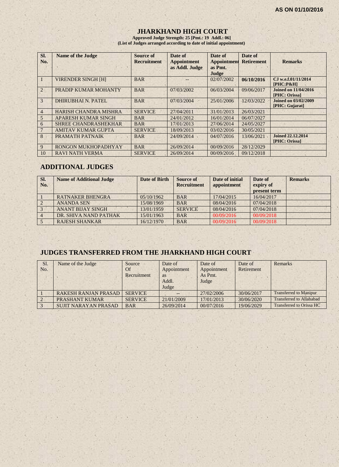## **JHARKHAND HIGH COURT**

**Approved Judge Strength: 25 [Pmt.: 19 Addl.: 06] (List of Judges arranged according to date of initial appointment)**

| SI.<br>No.     | <b>Name of the Judge</b>     | Source of<br><b>Recruitment</b> | Date of<br><b>Appointment</b><br>as Addl. Judge | Date of<br><b>Appointment</b><br>as Pmt.<br>Judge | Date of<br><b>Retirement</b> | <b>Remarks</b>                                |
|----------------|------------------------------|---------------------------------|-------------------------------------------------|---------------------------------------------------|------------------------------|-----------------------------------------------|
|                | <b>VIRENDER SINGH [H]</b>    | <b>BAR</b>                      |                                                 | 02/07/2002                                        | 06/10/2016                   | CJ w.e.f.01/11/2014<br>$[PHC: P\&H]$          |
| $\overline{2}$ | PRADIP KUMAR MOHANTY         | <b>BAR</b>                      | 07/03/2002                                      | 06/03/2004                                        | 09/06/2017                   | <b>Joined on 11/04/2016</b><br>[PHC: Orissa]  |
| 3              | DHIRUBHAI N. PATEL           | <b>BAR</b>                      | 07/03/2004                                      | 25/01/2006                                        | 12/03/2022                   | <b>Joined on 03/02/2009</b><br>[PHC: Gujarat] |
| $\overline{4}$ | <b>HARISH CHANDRA MISHRA</b> | <b>SERVICE</b>                  | 27/04/2011                                      | 31/01/2013                                        | 26/03/2021                   |                                               |
| 5              | <b>APARESH KUMAR SINGH</b>   | <b>BAR</b>                      | 24/01/2012                                      | 16/01/2014                                        | 06/07/2027                   |                                               |
| 6              | <b>SHREE CHANDRASHEKHAR</b>  | <b>BAR</b>                      | 17/01/2013                                      | 27/06/2014                                        | 24/05/2027                   |                                               |
|                | <b>AMITAV KUMAR GUPTA</b>    | <b>SERVICE</b>                  | 18/09/2013                                      | 03/02/2016                                        | 30/05/2021                   |                                               |
| 8              | PRAMATH PATNAIK              | <b>BAR</b>                      | 24/09/2014                                      | 04/07/2016                                        | 13/06/2021                   | <b>Joined 22.12.2014</b><br>[PHC: Orissa]     |
| 9              | RONGON MUKHOPADHYAY          | <b>BAR</b>                      | 26/09/2014                                      | 00/09/2016                                        | 28/12/2029                   |                                               |
| 10             | <b>RAVI NATH VERMA</b>       | <b>SERVICE</b>                  | 26/09/2014                                      | 00/09/2016                                        | 09/12/2018                   |                                               |

## **ADDITIONAL JUDGES**

| SI.<br>No.     | <b>Name of Additional Judge</b> | Date of Birth | <b>Source of</b><br><b>Recruitment</b> | Date of initial<br>appointment | Date of<br>expiry of<br>present term | <b>Remarks</b> |
|----------------|---------------------------------|---------------|----------------------------------------|--------------------------------|--------------------------------------|----------------|
|                | <b>RATNAKER BHENGRA</b>         | 05/10/1962    | <b>BAR</b>                             | 17/04/2015                     | 16/04/2017                           |                |
| $\sqrt{2}$     | <b>ANANDA SEN</b>               | 15/08/1969    | <b>BAR</b>                             | 08/04/2016                     | 07/04/2018                           |                |
|                | <b>ANANT BIJAY SINGH</b>        | 13/01/1959    | <b>SERVICE</b>                         | 08/04/2016                     | 07/04/2018                           |                |
| $\overline{4}$ | DR. SHIVA NAND PATHAK           | 15/01/1963    | <b>BAR</b>                             | 00/09/2016                     | 00/09/2018                           |                |
|                | <b>RAJESH SHANKAR</b>           | 16/12/1970    | <b>BAR</b>                             | 00/09/2016                     | 00/09/2018                           |                |

## **JUDGES TRANSFERRED FROM THE JHARKHAND HIGH COURT**

| Sl.<br>No. | Name of the Judge           | Source<br>Of<br>Recruitment | Date of<br>Appointment<br>as<br>Addl.<br>Judge | Date of<br>Appointment<br>As Pmt.<br>Judge | Date of<br>Retirement | Remarks                         |
|------------|-----------------------------|-----------------------------|------------------------------------------------|--------------------------------------------|-----------------------|---------------------------------|
|            | RAKESH RANJAN PRASAD        | <b>SERVICE</b>              |                                                | 27/02/2006                                 | 30/06/2017            | <b>Transferred to Manipur</b>   |
|            | PRASHANT KUMAR              | <b>SERVICE</b>              | 21/01/2009                                     | 17/01/2013                                 | 30/06/2020            | <b>Transferred to Allahabad</b> |
|            | <b>SUJIT NARAYAN PRASAD</b> | <b>BAR</b>                  | 26/09/2014                                     | 00/07/2016                                 | 19/06/2029            | Transferred to Orissa HC        |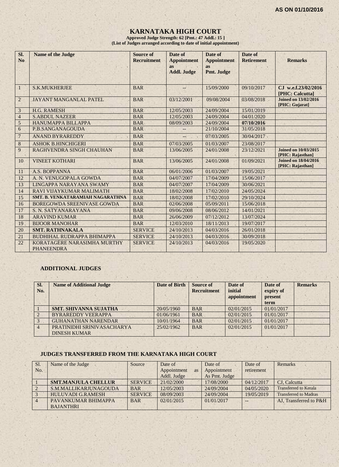## **KARNATAKA HIGH COURT**

**Approved Judge Strength: 62 [Pmt.: 47 Addl.: 15 ] (List of Judges arranged according to date of initial appointment)**

| SI.<br>N <sub>0</sub> | <b>Name of the Judge</b>                         | <b>Source of</b><br><b>Recruitment</b> | Date of<br><b>Appointment</b><br>as<br><b>Addl. Judge</b> | Date of<br><b>Appointment</b><br><b>as</b><br>Pmt. Judge | Date of<br><b>Retirement</b> | <b>Remarks</b>                                  |
|-----------------------|--------------------------------------------------|----------------------------------------|-----------------------------------------------------------|----------------------------------------------------------|------------------------------|-------------------------------------------------|
| $\mathbf{1}$          | <b>S.K.MUKHERJEE</b>                             | <b>BAR</b>                             | --                                                        | 15/09/2000                                               | 09/10/2017                   | CJ w.e.f.23/02/2016<br>[PHC: Calcutta]          |
| $\overline{2}$        | <b>JAYANT MANGANLAL PATEL</b>                    | <b>BAR</b>                             | 03/12/2001                                                | 09/08/2004                                               | 03/08/2018                   | <b>Joined on 13/02/2016</b><br>[PHC: Gujarat]   |
| $\mathfrak{Z}$        | <b>H.G. RAMESH</b>                               | <b>BAR</b>                             | 12/05/2003                                                | 24/09/2004                                               | 15/01/2019                   |                                                 |
| $\overline{4}$        | <b>S.ABDUL NAZEER</b>                            | <b>BAR</b>                             | 12/05/2003                                                | 24/09/2004                                               | 04/01/2020                   |                                                 |
| $\sqrt{5}$            | <b>HANUMAPPA BILLAPPA</b>                        | <b>BAR</b>                             | 08/09/2003                                                | 24/09/2004                                               | 07/10/2016                   |                                                 |
| 6                     | P.B.SANGANAGOUDA                                 | <b>BAR</b>                             |                                                           | 21/10/2004                                               | 31/05/2018                   |                                                 |
| $\overline{7}$        | <b>ANAND BYRAREDDY</b>                           | <b>BAR</b>                             | --                                                        | 07/03/2005                                               | 30/04/2017                   |                                                 |
| $\,8\,$               | <b>ASHOK B.HINCHIGERI</b>                        | <b>BAR</b>                             | 07/03/2005                                                | 01/03/2007                                               | 23/08/2017                   |                                                 |
| 9                     | RAGHVENDRA SINGH CHAUHAN                         | <b>BAR</b>                             | 13/06/2005                                                | 24/01/2008                                               | 23/12/2021                   | <b>Joined on 10/03/2015</b><br>[PHC: Rajasthan] |
| 10                    | <b>VINEET KOTHARI</b>                            | <b>BAR</b>                             | 13/06/2005                                                | 24/01/2008                                               | 01/09/2021                   | <b>Joined on 18/04/2016</b><br>[PHC: Rajasthan] |
| 11                    | A.S. BOPPANNA                                    | <b>BAR</b>                             | 06/01/2006                                                | 01/03/2007                                               | 19/05/2021                   |                                                 |
| 12                    | A. N. VENUGOPALA GOWDA                           | <b>BAR</b>                             | 04/07/2007                                                | 17/04/2009                                               | 15/06/2017                   |                                                 |
| 13                    | LINGAPPA NARAYANA SWAMY                          | <b>BAR</b>                             | 04/07/2007                                                | 17/04/2009                                               | 30/06/2021                   |                                                 |
| 14                    | RAVI VIJAYKUMAR MALIMATH                         | <b>BAR</b>                             | 18/02/2008                                                | 17/02/2010                                               | 24/05/2024                   |                                                 |
| 15                    | SMT. B. VENKATARAMIAH NAGARATHNA                 | <b>BAR</b>                             | 18/02/2008                                                | 17/02/2010                                               | 29/10/2024                   |                                                 |
| 16                    | BOREGOWDA SREENIVASE GOWDA                       | <b>BAR</b>                             | 02/06/2008                                                | 05/09/2011                                               | 15/06/2018                   |                                                 |
| 17                    | S. N. SATYANARAYANA                              | <b>BAR</b>                             | 09/06/2008                                                | 08/06/2012                                               | 14/01/2021                   |                                                 |
| 18                    | <b>ARAVIND KUMAR</b>                             | <b>BAR</b>                             | 26/06/2009                                                | 07/12/2012                                               | 13/07/2024                   |                                                 |
| 19                    | <b>BIJOOR MANOHAR</b>                            | <b>BAR</b>                             | 12/03/2010                                                | 18/11/2013                                               | 19/07/2017                   |                                                 |
| 20                    | <b>SMT. RATHNAKALA</b>                           | <b>SERVICE</b>                         | 24/10/2013                                                | 04/03/2016                                               | 26/01/2018                   |                                                 |
| 21                    | <b>BUDHIHAL RUDRAPPA BHIMAPPA</b>                | <b>SERVICE</b>                         | 24/10/2013                                                | 04/03/2016                                               | 30/09/2018                   |                                                 |
| 22                    | KORATAGERE NARASIMHA MURTHY<br><b>PHANEENDRA</b> | <b>SERVICE</b>                         | 24/10/2013                                                | 04/03/2016                                               | 19/05/2020                   |                                                 |

## **ADDITIONAL JUDGES**

| SI.<br>No. | <b>Name of Additional Judge</b>                   | <b>Date of Birth</b> | <b>Source of</b><br><b>Recruitment</b> | Date of<br>initial<br>appointment | Date of<br>expiry of<br>present<br>term | <b>Remarks</b> |
|------------|---------------------------------------------------|----------------------|----------------------------------------|-----------------------------------|-----------------------------------------|----------------|
|            | <b>SMT. SHIVANNA SUJATHA</b>                      | 20/05/1960           | <b>BAR</b>                             | 02/01/2015                        | 01/01/2017                              |                |
|            | <b>BYRAREDDY VEERAPPA</b>                         | 01/06/1961           | <b>BAR</b>                             | 02/01/2015                        | 01/01/2017                              |                |
|            | <b>GUHANATHAN NARENDAR</b>                        | 10/01/1964           | <b>BAR</b>                             | 02/01/2015                        | 01/01/2017                              |                |
|            | PRATINIDHI SRINIVASACHARYA<br><b>DINESH KUMAR</b> | 25/02/1962           | <b>BAR</b>                             | 02/01/2015                        | 01/01/2017                              |                |

#### **JUDGES TRANSFERRED FROM THE KARNATAKA HIGH COURT**

| Sl. | Name of the Judge          | Source         | Date of                  | Date of       | Date of    | Remarks                      |
|-----|----------------------------|----------------|--------------------------|---------------|------------|------------------------------|
| No. |                            |                | Appointment<br><b>as</b> | Appointment   | retirement |                              |
|     |                            |                | Addl. Judge              | As Pmt. Judge |            |                              |
|     | <b>SMT.MANJULA CHELLUR</b> | <b>SERVICE</b> | 21/02/2000               | 17/08/2000    | 04/12/2017 | CJ. Calcutta                 |
|     | S.M.MALLIKARJUNAGOUDA      | <b>BAR</b>     | 12/05/2003               | 24/09/2004    | 04/05/2020 | <b>Transferred to Kerala</b> |
|     | <b>HULUVADI G.RAMESH</b>   | <b>SERVICE</b> | 08/09/2003               | 24/09/2004    | 19/05/2019 | <b>Transferred to Madras</b> |
|     | PAVANKUMAR BHIMAPPA        | <b>BAR</b>     | 02/01/2015               | 01/01/2017    | $- -$      | AJ. Transferred to P&H       |
|     | <b>BAJANTHRI</b>           |                |                          |               |            |                              |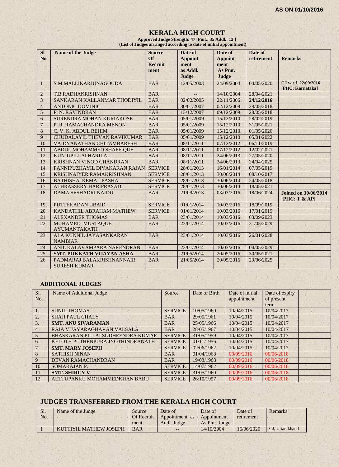## **KERALA HIGH COURT Approved Judge Strength: 47 [Pmt.: 35 Addl.: 12 ]**

 **(List of Judges arranged according to date of initial appointment)**

| SI<br>N <sub>o</sub> | <b>Name of the Judge</b>                         | <b>Source</b><br><b>Of</b><br><b>Recruit</b><br>ment | Date of<br><b>Appoint</b><br>ment<br>as Addl.<br>Judge | Date of<br><b>Appoint</b><br>ment<br>As Pmt.<br>Judge | Date of<br>retirement | <b>Remarks</b>                               |
|----------------------|--------------------------------------------------|------------------------------------------------------|--------------------------------------------------------|-------------------------------------------------------|-----------------------|----------------------------------------------|
| 1                    | S.M.MALLIKARJUNAGOUDA                            | <b>BAR</b>                                           | 12/05/2003                                             | 24/09/2004                                            | 04/05/2020            | CJ w.e.f. 22/09/2016<br>[PHC: Karnataka]     |
| $\overline{2}$       | T.B.RADHAKRISHNAN                                | <b>BAR</b>                                           |                                                        | 14/10/2004                                            | 28/04/2021            |                                              |
| $\overline{3}$       | SANKARAN KALLANMAR THODIYIL                      | <b>BAR</b>                                           | 02/02/2005                                             | 22/11/2006                                            | 24/12/2016            |                                              |
| $\overline{4}$       | <b>ANTONIC DOMINIC</b>                           | <b>BAR</b>                                           | 30/01/2007                                             | 02/12/2009                                            | 29/05/2018            |                                              |
| 5                    | P. N. RAVINDRAN                                  | <b>BAR</b>                                           | 13/12/2007                                             | 09/12/2009                                            | 28/05/2018            |                                              |
| 6                    | SURENDRA MOHAN KURIAKOSE                         | <b>BAR</b>                                           | 05/01/2009                                             | 15/12/2010                                            | 28/02/2019            |                                              |
| $\overline{7}$       | P. R. RAMACHANDRA MENON                          | <b>BAR</b>                                           | 05/01/2009                                             | 15/12/2010                                            | 31/05/2021            |                                              |
| 8                    | C. V. K. ABDUL REHIM                             | <b>BAR</b>                                           | 05/01/2009                                             | 15/12/2010                                            | 01/05/2020            |                                              |
| 9                    | <b>CHUDALAYIL THEVAN RAVIKUMAR</b>               | <b>BAR</b>                                           | 05/01/2009                                             | 15/12/2010                                            | 05/01/2022            |                                              |
| 10                   | <b>VAIDYANATHAN CHITAMBARESH</b>                 | <b>BAR</b>                                           | 08/11/2011                                             | 07/12/2012                                            | 06/11/2019            |                                              |
| 11                   | ABDUL MOHAMMED SHAFFIQUE                         | <b>BAR</b>                                           | 08/11/2011                                             | 07/12/2012                                            | 12/02/2021            |                                              |
| 12                   | KUNJUPILLAI HARILAL                              | <b>BAR</b>                                           | 08/11/2011                                             | 24/06/2013                                            | 27/05/2020            |                                              |
| 13                   | KRISHNAN VINOD CHANDRAN                          | <b>BAR</b>                                           | 08/11/2011                                             | 24/06/2013                                            | 24/04/2025            |                                              |
| 14                   | PANNIPUZHAYIL DIVAKARAN RAJAN                    | <b>SERVICE</b>                                       | 28/01/2013                                             | 16/01/2014                                            | 07/05/2019            |                                              |
| 15                   | <b>KRISHNAIYER RAMAKRISHNAN</b>                  | <b>SERVICE</b>                                       | 28/01/2013                                             | 30/06/2014                                            | 08/10/2017            |                                              |
| 16                   | <b>BATHISHA KEMAL PASHA</b>                      | <b>SERVICE</b>                                       | 28/01/2013                                             | 30/06/2014                                            | 24/05/2018            |                                              |
| 17                   | <b>ATHRASSERY HARIPRASAD</b>                     | <b>SERVICE</b>                                       | 28/01/2013                                             | 30/06/2014                                            | 18/05/2021            |                                              |
| 18                   | <b>DAMA SESHADRI NAIDU</b>                       | <b>BAR</b>                                           | 21/09/2013                                             | 03/03/2016                                            | 18/06/2024            | <b>Joined on 30/06/2014</b><br>[PHC: T & AP] |
| 19                   | PUTTEKADAN UBAID                                 | <b>SERVICE</b>                                       | 01/01/2014                                             | 10/03/2016                                            | 18/09/2019            |                                              |
| 20                   | KANDATHIL ABRAHAM MATHEW                         | <b>SERVICE</b>                                       | 01/01/2014                                             | 10/03/2016                                            | 17/01/2019            |                                              |
| 21                   | <b>ALEXANDER THOMAS</b>                          | <b>BAR</b>                                           | 23/01/2014                                             | 10/03/2016                                            | 03/09/2023            |                                              |
| 22                   | MUHAMED MUSTAQUE<br><b>AYUMANTAKATH</b>          | <b>BAR</b>                                           | 23/01/2014                                             | 10/03/2016                                            | 31/05/2029            |                                              |
| 23                   | ALA KUNNIL JAYASANKARAN<br><b>NAMBIAR</b>        | <b>BAR</b>                                           | 23/01/2014                                             | 10/03/2016                                            | 26/01/2028            |                                              |
| 24                   | ANIL KALAVAMPARA NARENDRAN                       | <b>BAR</b>                                           | 23/01/2014                                             | 10/03/2016                                            | 04/05/2029            |                                              |
| 25                   | <b>SMT. POKKATH VIJAYAN ASHA</b>                 | <b>BAR</b>                                           | 21/05/2014                                             | 20/05/2016                                            | 30/05/2021            |                                              |
| 26                   | PADMARAJ BALAKRISHNANNAIR<br><b>SURESH KUMAR</b> | <b>BAR</b>                                           | 21/05/2014                                             | 20/05/2016                                            | 29/06/2025            |                                              |

#### **ADDITIONAL JUDGES**

| Sl.            | Name of Additional Judge          | Source         | Date of Birth | Date of initial | Date of expiry |  |
|----------------|-----------------------------------|----------------|---------------|-----------------|----------------|--|
| No.            |                                   |                |               | appointment     | of present     |  |
|                |                                   |                |               |                 | term           |  |
| 1.             | <b>SUNIL THOMAS</b>               | <b>SERVICE</b> | 10/05/1960    | 10/04/2015      | 10/04/2017     |  |
| 2.             | <b>SHAJI PAUL CHALY</b>           | <b>BAR</b>     | 29/05/1961    | 10/04/2015      | 10/04/2017     |  |
| 3.             | <b>SMT. ANU SIVARAMAN</b>         | <b>BAR</b>     | 25/05/1966    | 10/04/2015      | 10/04/2017     |  |
| $\overline{4}$ | RAJA VIJAYARAGHAVAN VALSALA       | <b>BAR</b>     | 28/05/1967    | 10/04/2015      | 10/04/2017     |  |
| 5              | BHASKARAN PILLAI SUDHEENDRA KUMAR | <b>SERVICE</b> | 31/05/1959    | 10/04/2015      | 10/04/2017     |  |
| 6              | KELOTH PUTHENPURA JYOTHINDRANATH  | <b>SERVICE</b> | 01/11/1956    | 10/04/2015      | 10/04/2017     |  |
|                | <b>SMT. MARY JOSEPH</b>           | <b>SERVICE</b> | 02/06/1962    | 10/04/2015      | 10/04/2017     |  |
| 8              | <b>SATHISH NINAN</b>              | <b>BAR</b>     | 01/04/1968    | 00/09/2016      | 00/06/2018     |  |
| 9              | <b>DEVAN RAMACHANDRAN</b>         | <b>BAR</b>     | 19/03/1968    | 00/09/2016      | 00/06/2018     |  |
| 10             | SOMARAJAN P.                      | <b>SERVICE</b> | 14/07/1962    | 00/09/2016      | 00/06/2018     |  |
| 11             | <b>SMT. SHIRCY V.</b>             | <b>SERVICE</b> | 31/05/1960    | 00/09/2016      | 00/06/2018     |  |
| 12             | AETTUPANKU MOHAMMEDKHAN BABU      | <b>SERVICE</b> | 26/10/1957    | 00/09/2016      | 00/06/2018     |  |

## **JUDGES TRANSFERRED FROM THE KERALA HIGH COURT**

| <b>SI.</b> | Name of the Judge      | Source            | Date of                    | Date of       | Date of    | <b>Remarks</b>  |
|------------|------------------------|-------------------|----------------------------|---------------|------------|-----------------|
| No.        |                        | <b>Of Recruit</b> | Appointment as Appointment |               | retirement |                 |
|            |                        | ment              | Addl. Judge                | As Pmt. Judge |            |                 |
|            | KUTTIYIL MATHEW JOSEPH | <b>BAR</b>        | $- -$                      | 14/10/2004    | 16/06/2020 | CJ, Uttarakhand |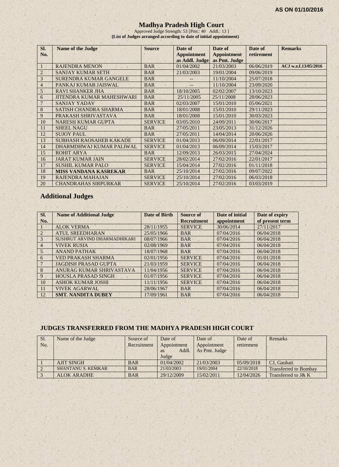## **Madhya Pradesh High Court**

Approved Judge Strength: 53 [Pmt.: 40 Addl.: 13 ] **(List of Judges arranged according to date of initial appointment)**

| SI.<br>No.     | <b>Name of the Judge</b>         | <b>Source</b>  | Date of<br><b>Appointment</b> | Date of<br><b>Appointment</b><br>as Addl. Judge   as Pmt. Judge | Date of<br>retirement | <b>Remarks</b>       |
|----------------|----------------------------------|----------------|-------------------------------|-----------------------------------------------------------------|-----------------------|----------------------|
|                | <b>RAJENDRA MENON</b>            | <b>BAR</b>     | 01/04/2002                    | 21/03/2003                                                      | 06/06/2019            | ACJ w.e.f.13/05/2016 |
| $\overline{2}$ | <b>SANJAY KUMAR SETH</b>         | <b>BAR</b>     | 21/03/2003                    | 19/01/2004                                                      | 09/06/2019            |                      |
| 3              | <b>SURENDRA KUMAR GANGELE</b>    | <b>BAR</b>     |                               | 11/10/2004                                                      | 25/07/2018            |                      |
| $\overline{4}$ | PANKAJ KUMAR JAISWAL             | <b>BAR</b>     |                               | 11/10/2004                                                      | 23/09/2020            |                      |
| 5              | <b>RAVI SHANKER JHA</b>          | <b>BAR</b>     | 18/10/2005                    | 02/02/2007                                                      | 13/10/2023            |                      |
| 6              | <b>JITENDRA KUMAR MAHESHWARI</b> | <b>BAR</b>     | 25/11/2005                    | 25/11/2008                                                      | 28/06/2023            |                      |
| 7              | <b>SANJAY YADAV</b>              | <b>BAR</b>     | 02/03/2007                    | 15/01/2010                                                      | 05/06/2021            |                      |
| 8              | <b>SATISH CHANDRA SHARMA</b>     | <b>BAR</b>     | 18/01/2008                    | 15/01/2010                                                      | 29/11/2023            |                      |
| 9              | PRAKASH SHRIVASTAVA              | <b>BAR</b>     | 18/01/2008                    | 15/01/2010                                                      | 30/03/2023            |                      |
| 10             | <b>NARESH KUMAR GUPTA</b>        | <b>SERVICE</b> | 03/05/2010                    | 24/09/2011                                                      | 30/06/2017            |                      |
| 11             | <b>SHEEL NAGU</b>                | <b>BAR</b>     | 27/05/2011                    | 23/05/2013                                                      | 31/12/2026            |                      |
| 12             | <b>SUJOY PAUL</b>                | <b>BAR</b>     | 27/05/2011                    | 14/04/2014                                                      | 20/06/2026            |                      |
| 13             | <b>SUBHASH RAOSAHEB KAKADE</b>   | <b>SERVICE</b> | 01/04/2013                    | 06/09/2014                                                      | 22/01/2017            |                      |
| 14             | DHARMDHWAJ KUMAR PALIWAL         | <b>SERVICE</b> | 01/04/2013                    | 06/09/2014                                                      | 15/03/2017            |                      |
| 15             | <b>ROHIT ARYA</b>                | <b>BAR</b>     | 12/09/2013                    | 26/03/2015                                                      | 27/04/2024            |                      |
| 16             | <b>JARAT KUMAR JAIN</b>          | <b>SERVICE</b> | 28/02/2014                    | 27/02/2016                                                      | 22/01/2017            |                      |
| 17             | <b>SUSHIL KUMAR PALO</b>         | <b>SERVICE</b> | 15/04/2014                    | 27/02/2016                                                      | 01/11/2018            |                      |
| 18             | <b>MISS VANDANA KASREKAR</b>     | <b>BAR</b>     | 25/10/2014                    | 27/02/2016                                                      | 09/07/2022            |                      |
| 19             | RAJENDRA MAHAJAN                 | <b>SERVICE</b> | 25/10/2014                    | 27/02/2016                                                      | 06/03/2018            |                      |
| 20             | <b>CHANDRAHAS SIRPURKAR</b>      | <b>SERVICE</b> | 25/10/2014                    | 27/02/2016                                                      | 03/03/2019            |                      |

# **Additional Judges**

| SI.<br>No.            | <b>Name of Additional Judge</b> | Date of Birth | <b>Source of</b><br><b>Recruitment</b> | Date of initial<br>appointment | Date of expiry<br>of present term |
|-----------------------|---------------------------------|---------------|----------------------------------------|--------------------------------|-----------------------------------|
|                       | <b>ALOK VERMA</b>               | 28/11/1955    | <b>SERVICE</b>                         | 30/06/2014                     | 27/11/2017                        |
| $\mathcal{D}_{\cdot}$ | <b>ATUL SREEDHARAN</b>          | 25/05/1966    | <b>BAR</b>                             | 07/04/2016                     | 06/04/2018                        |
| 3                     | SUSHRUT ARVIND DHARMADHIKARI    | 08/07/1966    | <b>BAR</b>                             | 07/04/2016                     | 06/04/2018                        |
| $\overline{4}$        | <b>VIVEK RUSIA</b>              | 02/08/1969    | <b>BAR</b>                             | 07/04/2016                     | 06/04/2018                        |
| 5 <sub>1</sub>        | <b>ANAND PATHAK</b>             | 18/07/1968    | <b>BAR</b>                             | 07/04/2016                     | 06/04/2018                        |
| 6                     | <b>VED PRAKASH SHARMA</b>       | 02/01/1956    | <b>SERVICE</b>                         | 07/04/2016                     | 01/01/2018                        |
|                       | <b>JAGDISH PRASAD GUPTA</b>     | 21/03/1959    | <b>SERVICE</b>                         | 07/04/2016                     | 06/04/2018                        |
| 8                     | ANURAG KUMAR SHRIVASTAVA        | 11/04/1956    | <b>SERVICE</b>                         | 07/04/2016                     | 06/04/2018                        |
| 9                     | <b>HOUSLA PRASAD SINGH</b>      | 01/07/1956    | <b>SERVICE</b>                         | 07/04/2016                     | 06/04/2018                        |
| 10                    | <b>ASHOK KUMAR JOSHI</b>        | 11/11/1956    | <b>SERVICE</b>                         | 07/04/2016                     | 06/04/2018                        |
| 11                    | <b>VIVEK AGARWAL</b>            | 28/06/1967    | <b>BAR</b>                             | 07/04/2016                     | 06/04/2018                        |
| 12                    | <b>SMT. NANDITA DUBEY</b>       | 17/09/1961    | <b>BAR</b>                             | 07/04/2016                     | 06/04/2018                        |

#### **JUDGES TRANSFERRED FROM THE MADHYA PRADESH HIGH COURT**

| Sl. | Name of the Judge         | Source of   | Date of     | Date of       | Date of    | Remarks                      |
|-----|---------------------------|-------------|-------------|---------------|------------|------------------------------|
| No. |                           | Recruitment | Appointment | Appointment   | retirement |                              |
|     |                           |             | Addl.<br>as | As Pmt. Judge |            |                              |
|     |                           |             | Judge       |               |            |                              |
|     | <b>AJIT SINGH</b>         | <b>BAR</b>  | 01/04/2002  | 21/03/2003    | 05/09/2018 | CJ. Gauhati                  |
|     | <b>SHANTANU S. KEMKAR</b> | <b>BAR</b>  | 21/03/2003  | 19/01/2004    | 22/10/2018 | <b>Transferred to Bombay</b> |
|     | <b>ALOK ARADHE</b>        | <b>BAR</b>  | 29/12/2009  | 15/02/2011    | 12/04/2026 | Transferred to J& K          |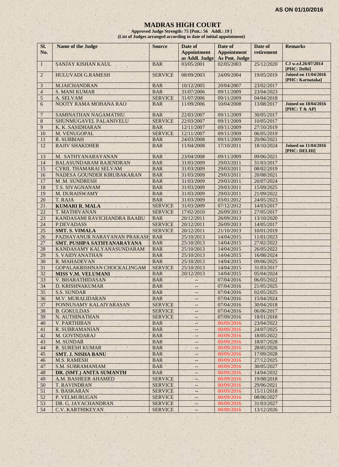## **MADRAS HIGH COURT**

**Approved Judge Strength: 75 [Pmt.: 56 Addl.: 19 ] (List of Judges arranged according to date of initial appointment)**

| SI.<br>No.     | Name of the Judge             | <b>Source</b>  | Date of<br><b>Appointment</b><br>as Addl. Judge | Date of<br><b>Appointment</b><br>As Pmt. Judge | Date of<br>retirement | <b>Remarks</b>                                  |
|----------------|-------------------------------|----------------|-------------------------------------------------|------------------------------------------------|-----------------------|-------------------------------------------------|
| $\mathbf{1}$   | SANJAY KISHAN KAUL            | <b>BAR</b>     | 03/05/2001                                      | 02/05/2003                                     | 25/12/2020            | CJ w.e.f.26/07/2014<br>[PHC: Delhi]             |
| $2^{\circ}$    | <b>HULUVADI G.RAMESH</b>      | <b>SERVICE</b> | 08/09/2003                                      | 24/09/2004                                     | 19/05/2019            | <b>Joined on 11/04/2016</b><br>[PHC: Karnataka] |
| 3              | <b>M.JAICHANDRAN</b>          | <b>BAR</b>     | 10/12/2005                                      | 20/04/2007                                     | 23/02/2017            |                                                 |
| $\overline{4}$ | <b>S. MANI KUMAR</b>          | <b>BAR</b>     | 31/07/2006                                      | 09/11/2009                                     | 23/04/2023            |                                                 |
| 5              | A. SELVAM                     | <b>SERVICE</b> | 31/07/2006                                      | 09/11/2009                                     | 04/04/2018            |                                                 |
| 6              | NOOTY RAMA MOHANA RAO         | <b>BAR</b>     | 11/09/2006                                      | 10/04/2008                                     | 13/08/2017            | <b>Joined on 18/04/2016</b><br>[PHC: T & AP]    |
| $\overline{7}$ | SAMINATHAN NAGAMATHU          | <b>BAR</b>     | 22/03/2007                                      | 09/11/2009                                     | 30/05/2017            |                                                 |
| 8              | SHUNMUGAVEL PALANIVELU        | <b>SERVICE</b> | 22/03/2007                                      | 09/11/2009                                     | 10/05/2017            |                                                 |
| 9              | K. K. SASIDHARAN              | <b>BAR</b>     | 12/11/2007                                      | 09/11/2009                                     | 27/10/2019            |                                                 |
| 10             | M. VENUGOPAL                  | <b>SERVICE</b> | 12/11/2007                                      | 09/11/2009                                     | 06/05/2019            |                                                 |
| 11             | R. SUBBIAH                    | <b>BAR</b>     | 24/03/2008                                      | 09/11/2009                                     | 20/06/2021            |                                                 |
| 12             | <b>RAJIV SHAKDHER</b>         | <b>BAR</b>     | 11/04/2008                                      | 17/10/2011                                     | 18/10/2024            | <b>Joined on 11/04/2016</b><br>[PHC: DELHI]     |
| 13             | M. SATHYANARAYANAN            | <b>BAR</b>     | 23/04/2008                                      | 09/11/2009                                     | 09/06/2021            |                                                 |
| 14             | <b>BALASUNDARAM RAJENDRAN</b> | <b>BAR</b>     | 31/03/2009                                      | 29/03/2011                                     | 31/03/2017            |                                                 |
| 15             | <b>CYRIL THAMARAI SELVAM</b>  | <b>BAR</b>     | 31/03/2009                                      | 29/03/2011                                     | 08/02/2019            |                                                 |
| 16             | NADESA GOUNDER KIRUBAKARAN    | <b>BAR</b>     | 31/03/2009                                      | 29/03/2011                                     | 20/08/2021            |                                                 |
| 17             | M.M. SUNDRESH                 | <b>BAR</b>     | 31/03/2009                                      | 29/03/2011                                     | 20/07/2024            |                                                 |
| 18             | T.S. SIVAGNANAM               | <b>BAR</b>     | 31/03/2009                                      | 29/03/2011                                     | 15/09/2025            |                                                 |
| 19             | M. DURAISWAMY                 | <b>BAR</b>     | 31/03/2009                                      | 29/03/2011                                     | 21/09/2022            |                                                 |
| 20             | T. RAJA                       | <b>BAR</b>     | 31/03/2009                                      | 03/01/2012                                     | 24/05/2023            |                                                 |
| 21             | <b>KUMARI R. MALA</b>         | <b>SERVICE</b> | 31/03/2009                                      | 07/12/2012                                     | 14/03/2017            |                                                 |
| 22             | <b>T. MATHIVANAN</b>          | <b>SERVICE</b> | 17/02/2010                                      | 26/09/2013                                     | 27/05/2017            |                                                 |
| 23             | KANDASAMI RAVICHANDRA BAABU   | <b>BAR</b>     | 20/12/2011                                      | 26/09/2013                                     | 13/10/2020            |                                                 |
| 24             | <b>P.DEVADASS</b>             | <b>SERVICE</b> | 20/12/2011                                      | 26/09/2013                                     | 14/05/2017            |                                                 |
| 25             | <b>SMT. S. VIMALA</b>         | <b>SERVICE</b> | 20/12/2011                                      | 21/10/2013                                     | 10/01/2019            |                                                 |
| 26             | PAZHAYANUR NARAYANAN PRAKASH  | <b>BAR</b>     | 25/10/2013                                      | 14/04/2015                                     | 11/01/2023            |                                                 |
| 27             | SMT. PUSHPA SATHYANARAYANA    | <b>BAR</b>     | 25/10/2013                                      | 14/04/2015                                     | 27/02/2022            |                                                 |
| 28             | KANDASAMY KALYANASUNDARAM     | <b>BAR</b>     | 25/10/2013                                      | 14/04/2015                                     | 26/05/2022            |                                                 |
| 29             | S. VAIDYANATHAN               | <b>BAR</b>     | 25/10/2013                                      | 14/04/2015                                     | 16/08/2024            |                                                 |
| 30             | R. MAHADEVAN                  | <b>BAR</b>     | 25/10/2013                                      | 14/04/2015                                     | 09/06/2025            |                                                 |
| 31             | GOPALAKRISHNAN CHOCKALINGAM   | <b>SERVICE</b> | 25/10/2013                                      | 14/04/2015                                     | 31/03/2017            |                                                 |
| 32             | <b>MISS V.M. VELUMANI</b>     | <b>BAR</b>     | 20/12/2013                                      | 14/04/2015                                     | 05/04/2024            |                                                 |
| 33             | <b>V. BHARATHIDASAN</b>       | <b>BAR</b>     | $ \overline{ }$                                 | 07/04/2016                                     | 06/05/2022            |                                                 |
| 34             | D. KRISHNAKUMAR               | <b>BAR</b>     | $\overline{\phantom{a}}$                        | 07/04/2016                                     | 21/05/2025            |                                                 |
| 35             | <b>S.S. SUNDAR</b>            | <b>BAR</b>     | $\qquad \qquad -$                               | 07/04/2016                                     | 02/05/2025            |                                                 |
| 36             | M.V. MURALIDARAN              | <b>BAR</b>     | $\qquad \qquad -$                               | 07/04/2016                                     | 15/04/2024            |                                                 |
| 37             | PONNUSAMY KALAIYARASAN        | <b>SERVICE</b> |                                                 | 07/04/2016                                     | 30/04/2018            |                                                 |
| 38             | <b>B. GOKULDAS</b>            | <b>SERVICE</b> | $-4+$                                           | 07/04/2016                                     | 06/06/2017            |                                                 |
| 39             | N. AUTHINATHAN                | <b>SERVICE</b> |                                                 | 07/09/2016                                     | 18/01/2018            |                                                 |
| 40             | <b>V. PARTHIBAN</b>           | <b>BAR</b>     | $-1$                                            | 00/09/2016                                     | 23/04/2022            |                                                 |
| 41             | R. SUBRAMANIAN                | <b>BAR</b>     | $\qquad \qquad -$                               | 00/09/2016                                     | 24/07/2025            |                                                 |
| 42             | M. GOVINDARAJ                 | <b>BAR</b>     | --                                              | 00/09/2016                                     | 18/05/2022            |                                                 |
| 43             | M. SUNDAR                     | <b>BAR</b>     |                                                 | 00/09/2016                                     | 18/07/2028            |                                                 |
| 44             | <b>R. SURESH KUMAR</b>        | <b>BAR</b>     | -2                                              | 00/09/2016                                     | 28/05/2026            |                                                 |
| 45             | <b>SMT. J. NISHA BANU</b>     | <b>BAR</b>     | $-$                                             | 00/09/2016                                     | 17/09/2028            |                                                 |
| 46             | <b>M.S. RAMESH</b>            | <b>BAR</b>     | $- -$                                           | 00/09/2016                                     | 27/12/2025            |                                                 |
| 47             | <b>S.M. SUBRAMANIAM</b>       | <b>BAR</b>     | $- -$                                           | 00/09/2016                                     | 30/05/2027            |                                                 |
| 48             | DR. (SMT.) ANITA SUMANTH      | <b>BAR</b>     | --                                              | 00/09/2016                                     | 14/04/2032            |                                                 |
| 49             | A.M. BASHEER AHAMED           | <b>SERVICE</b> | --                                              | 00/09/2016                                     | 19/08/2018            |                                                 |
| 50             | <b>T. RAVINDRAN</b>           | <b>SERVICE</b> | --                                              | 00/09/2016                                     | 29/06/2021            |                                                 |
| 51             | <b>S. BASKARAN</b>            | <b>SERVICE</b> | --1                                             | 00/09/2016                                     | 15/11/2018            |                                                 |
| 52             | P. VELMURUGAN                 | <b>SERVICE</b> | --                                              | 00/09/2016                                     | 08/06/2027            |                                                 |
| 53             | DR. G. JAYACHANDRAN           | <b>SERVICE</b> | $\overline{\phantom{a}}$                        | 00/09/2016                                     | 31/03/2027            |                                                 |
| 54             | C.V. KARTHIKEYAN              | <b>SERVICE</b> |                                                 | 00/09/2016                                     | 13/12/2026            |                                                 |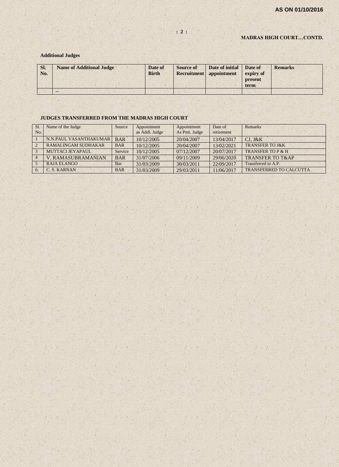#### **MADRAS HIGH COURT…CONTD.**

#### **Additional Judges**

| SI.<br>No. | <b>Name of Additional Judge</b> | Date of<br><b>Birth</b> | Source of | Date of initial<br><b>Recruitment</b> appointment | Date of<br>expiry of<br>present<br>term | <b>Remarks</b> |
|------------|---------------------------------|-------------------------|-----------|---------------------------------------------------|-----------------------------------------|----------------|
|            | $- -$                           |                         |           |                                                   |                                         |                |

#### **JUDGES TRANSFERRED FROM THE MADRAS HIGH COURT**

| S1.<br>No.     | Name of the Judge         | Source     | Appointment<br>as Addl. Judge | Appointment<br>As Pmt. Judge | Date of<br>retirement | Remarks                        |
|----------------|---------------------------|------------|-------------------------------|------------------------------|-----------------------|--------------------------------|
|                | N.N.PAUL VASANTHAKUMAR    | <b>BAR</b> | 10/12/2005                    | 20/04/2007                   | 13/04/2017            | $CJ.$ $J&K$                    |
| $\overline{2}$ | RAMALINGAM SUDHAKAR       | <b>BAR</b> | 10/12/2005                    | 20/04/2007                   | 13/02/2021            | <b>TRANSFER TO J&amp;K</b>     |
| $\mathcal{R}$  | MUTTACLIEYAPAUL           | Service    | 10/12/2005                    | 07/12/2007                   | 20/07/2017            | TRANSFER TO P & H              |
|                | <b>V. RAMASUBRAMANIAN</b> | <b>BAR</b> | 31/07/2006                    | 09/11/2009                   | 29/06/2020            | <b>TRANSFER TO T&amp;AP</b>    |
|                | RAJA ELANGO               | Bar        | 31/03/2009                    | 30/03/2011                   | 22/09/2017            | Transferred to A.P.            |
| 6.             | C. S. KARNAN              | <b>BAR</b> | 31/03/2009                    | 29/03/2011                   | 11/06/2017            | <b>TRANSFERRED TO CALCUTTA</b> |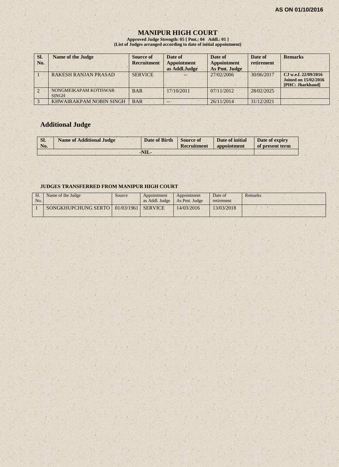## **MANIPUR HIGH COURT**

**Approved Judge Strength: 05 [ Pmt.: 04 Addl.: 01 ] (List of Judges arranged according to date of initial appointment)**

| SI.<br>No. | <b>Name of the Judge</b>              | Source of<br><b>Recruitment</b> | Date of<br><b>Appointment</b><br>as Addl.Judge | Date of<br><b>Appointment</b><br>As Pmt. Judge | Date of<br>retirement | <b>Remarks</b>                                                          |
|------------|---------------------------------------|---------------------------------|------------------------------------------------|------------------------------------------------|-----------------------|-------------------------------------------------------------------------|
|            | <b>RAKESH RANJAN PRASAD</b>           | <b>SERVICE</b>                  |                                                | 27/02/2006                                     | 30/06/2017            | CJ w.e.f. 22/09/2016<br><b>Joined on 15/02/2016</b><br>[PHC: Jharkhand] |
|            | NONGMEIKAPAM KOTISWAR<br><b>SINGH</b> | <b>BAR</b>                      | $-17/10/2011$                                  | 07/11/2012                                     | 28/02/2025            |                                                                         |
|            | KHWAIRAKPAM NOBIN SINGH               | <b>BAR</b>                      | --                                             | 26/11/2014                                     | 31/12/2021            |                                                                         |

# **Additional Judge**

| Sl.<br>No. | <b>Name of Additional Judge</b> | Date of Birth Source of | Recruitment | Date of initial<br>appointment | Date of expiry<br>of present term |
|------------|---------------------------------|-------------------------|-------------|--------------------------------|-----------------------------------|
|            |                                 | $-NIL$                  |             |                                |                                   |

## **JUDGES TRANSFERRED FROM MANIPUR HIGH COURT**

| No. | Name of the Judge                          | Source | Appointment<br>as Addl. Judge   As Pmt. Judge | Appointment | Date of<br>retirement | Remarks |
|-----|--------------------------------------------|--------|-----------------------------------------------|-------------|-----------------------|---------|
|     | SONGKHUPCHUNG SERTO   01/03/1961   SERVICE |        |                                               | 14/03/2016  | 13/03/2018            |         |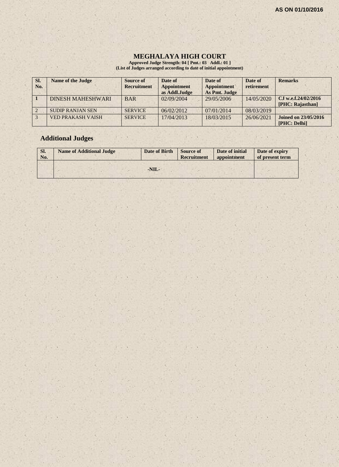$\mathcal{E} \times \mathcal{E}$ 

#### **MEGHALAYA HIGH COURT**

**Approved Judge Strength: 04 [ Pmt.: 03 Addl.: 01 ] (List of Judges arranged according to date of initial appointment)**

| SI.<br>No. | <b>Name of the Judge</b> | Source of<br><b>Recruitment</b> | Date of<br><b>Appointment</b><br>as Addl.Judge | Date of<br><b>Appointment</b><br>As Pmt. Judge | Date of<br>retirement | <b>Remarks</b>                              |
|------------|--------------------------|---------------------------------|------------------------------------------------|------------------------------------------------|-----------------------|---------------------------------------------|
|            | <b>DINESH MAHESHWARI</b> | <b>BAR</b>                      | 02/09/2004                                     | 29/05/2006                                     | 14/05/2020            | C.I w.e.f.24/02/2016<br>[PHC: Rajasthan]    |
|            | <b>SUDIP RANJAN SEN</b>  | <b>SERVICE</b>                  | 06/02/2012                                     | 07/01/2014                                     | 08/03/2019            |                                             |
|            | <b>VED PRAKASH VAISH</b> | <b>SERVICE</b>                  | 17/04/2013                                     | 18/03/2015                                     | 26/06/2021            | <b>Joined on 23/05/2016</b><br>[PHC: Delhi] |

 $x \rightarrow x$ 

# **Additional Judges**

| SI.<br>No. | <b>Name of Additional Judge</b> | Date of Birth | <b>Source of</b><br><b>Recruitment</b> | Date of initial<br>appointment | Date of expiry<br>of present term |
|------------|---------------------------------|---------------|----------------------------------------|--------------------------------|-----------------------------------|
|            |                                 | $-NIL-$       |                                        |                                |                                   |

 $(1 - 1)$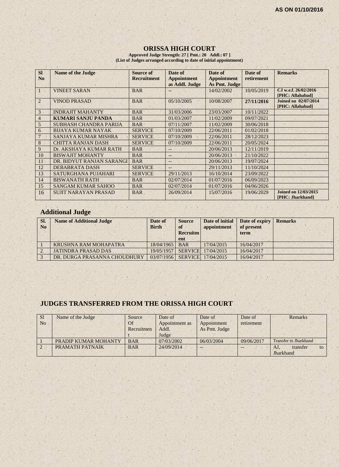## **ORISSA HIGH COURT**

**Approved Judge Strength: 27 [ Pmt.: 20 Addl.: 07 ] (List of Judges arranged according to date of initial appointment)**

| <b>SI</b><br>N <sub>0</sub> | <b>Name of the Judge</b>      | <b>Source of</b><br><b>Recruitment</b> | Date of<br><b>Appointment</b><br>as Addl. Judge | Date of<br><b>Appointment</b><br>As Pmt. Judge | Date of<br>retirement | <b>Remarks</b>                                  |
|-----------------------------|-------------------------------|----------------------------------------|-------------------------------------------------|------------------------------------------------|-----------------------|-------------------------------------------------|
|                             | <b>VINEET SARAN</b>           | <b>BAR</b>                             | --                                              | 14/02/2002                                     | 10/05/2019            | CJ w.e.f. 26/02/2016<br>[PHC: Allahabad]        |
| $\overline{2}$              | <b>VINOD PRASAD</b>           | <b>BAR</b>                             | 05/10/2005                                      | 10/08/2007                                     | 27/11/2016            | <b>Joined on 02/07/2014</b><br>[PHC: Allahabad] |
| $\overline{3}$              | <b>INDRAJIT MAHANTY</b>       | <b>BAR</b>                             | 31/03/2006                                      | 23/03/2007                                     | 10/11/2022            |                                                 |
| $\overline{4}$              | <b>KUMARI SANJU PANDA</b>     | <b>BAR</b>                             | 01/03/2007                                      | 11/02/2009                                     | 09/07/2021            |                                                 |
| 5                           | <b>SUBHASH CHANDRA PARIJA</b> | <b>BAR</b>                             | 07/11/2007                                      | 11/02/2009                                     | 30/06/2018            |                                                 |
| 6                           | <b>BIJAYA KUMAR NAYAK</b>     | <b>SERVICE</b>                         | 07/10/2009                                      | 22/06/2011                                     | 01/02/2018            |                                                 |
|                             | SANJAYA KUMAR MISHRA          | <b>SERVICE</b>                         | 07/10/2009                                      | 22/06/2011                                     | 28/12/2023            |                                                 |
| 8                           | <b>CHITTA RANJAN DASH</b>     | <b>SERVICE</b>                         | 07/10/2009                                      | 22/06/2011                                     | 20/05/2024            |                                                 |
| 9                           | Dr. AKSHAYA KUMAR RATH        | <b>BAR</b>                             | $-$                                             | 20/06/2013                                     | 12/11/2019            |                                                 |
| 10                          | <b>BISWAJIT MOHANTY</b>       | <b>BAR</b>                             | $--$                                            | 20/06/2013                                     | 21/10/2022            |                                                 |
| 11                          | DR. BIDYUT RANJAN SARANGI     | <b>BAR</b>                             | $--$                                            | 20/06/2013                                     | 19/07/2024            |                                                 |
| 12                          | DEBABRATA DASH                | <b>SERVICE</b>                         | $- -$                                           | 29/11/2013                                     | 11/10/2024            |                                                 |
| 13                          | SATURGHANA PUJAHARI           | <b>SERVICE</b>                         | 29/11/2013                                      | 16/10/2014                                     | 23/09/2022            |                                                 |
| 14                          | <b>BISWANATH RATH</b>         | <b>BAR</b>                             | 02/07/2014                                      | 01/07/2016                                     | 06/09/2023            |                                                 |
| 15                          | <b>SANGAM KUMAR SAHOO</b>     | <b>BAR</b>                             | 02/07/2014                                      | 01/07/2016                                     | 04/06/2026            |                                                 |
| 16                          | <b>SUJIT NARAYAN PRASAD</b>   | <b>BAR</b>                             | 26/09/2014                                      | 15/07/2016                                     | 19/06/2029            | <b>Joined on 12/03/2015</b><br>[PHC: Jharkhand] |

# **Additional Judge**

| SI.<br>N <sub>0</sub> | <b>Name of Additional Judge</b> | Date of<br><b>Birth</b> | <b>Source</b><br><sub>of</sub><br><b>Recruitm</b><br>ent | Date of initial<br>appointment  | Date of expiry<br>of present<br>term | <b>Remarks</b> |
|-----------------------|---------------------------------|-------------------------|----------------------------------------------------------|---------------------------------|--------------------------------------|----------------|
|                       | KRUSHNA RAM MOHAPATRA           | 18/04/1965              | <b>BAR</b>                                               | 17/04/2015                      | 16/04/2017                           |                |
|                       | <b>JATINDRA PRASAD DAS</b>      | 19/05/1957              |                                                          | SERVICE 17/04/2015              | 16/04/2017                           |                |
|                       | DR. DURGA PRASANNA CHOUDHURY    |                         |                                                          | 03/07/1956   SERVICE 17/04/2015 | 16/04/2017                           |                |

# **JUDGES TRANSFERRED FROM THE ORISSA HIGH COURT**

| S <sub>1</sub> | Name of the Judge    | Source     | Date of        | Date of       | Date of    | <b>Remarks</b>               |
|----------------|----------------------|------------|----------------|---------------|------------|------------------------------|
| N <sub>0</sub> |                      | Of         | Appointment as | Appointment   | retirement |                              |
|                |                      | Recruitmen | Addl.          | As Pmt. Judge |            |                              |
|                |                      |            | Judge          |               |            |                              |
|                | PRADIP KUMAR MOHANTY | <b>BAR</b> | 07/03/2002     | 06/03/2004    | 09/06/2017 | <b>Transfer to Jharkhand</b> |
|                | PRAMATH PATNAIK      | <b>BAR</b> | 24/09/2014     | $-$           |            | transfer<br>AJ.<br>to        |
|                |                      |            |                |               |            | Jharkhand                    |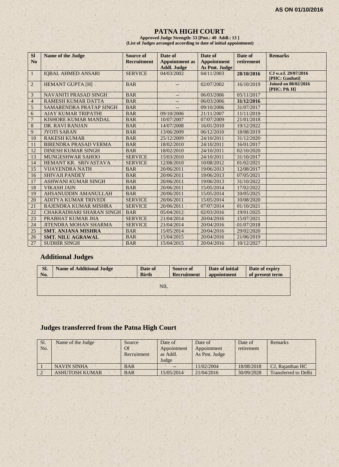## **PATNA HIGH COURT**

**Approved Judge Strength: 53 [Pmt.: 40 Addl.: 13 ] (List of Judges arranged according to date of initial appointment)**

| <b>SI</b>      | <b>Name of the Judge</b>        | <b>Source of</b>   | Date of               | Date of              | Date of    | <b>Remarks</b>                             |
|----------------|---------------------------------|--------------------|-----------------------|----------------------|------------|--------------------------------------------|
| N <sub>0</sub> |                                 | <b>Recruitment</b> | <b>Appointment</b> as | <b>Appointment</b>   | retirement |                                            |
|                |                                 |                    | <b>Addl. Judge</b>    | <b>As Pmt. Judge</b> |            |                                            |
| $\mathbf{1}$   | <b>IQBAL AHMED ANSARI</b>       | <b>SERVICE</b>     | 04/03/2002            | 04/11/2003           | 28/10/2016 | CJ w.e.f. 29/07/2016<br>[PHC: Gauhati]     |
| $\overline{2}$ | <b>HEMANT GUPTA [H]</b>         | <b>BAR</b>         |                       | 02/07/2002           | 16/10/2019 | <b>Joined on 08/02/2016</b><br>[PHC: P& H] |
| 3              | NAVANITI PRASAD SINGH           | <b>BAR</b>         | --                    | 06/03/2006           | 05/11/2017 |                                            |
| $\overline{4}$ | <b>RAMESH KUMAR DATTA</b>       | <b>BAR</b>         | --                    | 06/03/2006           | 31/12/2016 |                                            |
| $\mathfrak{S}$ | <b>SAMARENDRA PRATAP SINGH</b>  | <b>BAR</b>         |                       | 09/10/2006           | 31/07/2017 |                                            |
| 6              | <b>AJAY KUMAR TRIPATHI</b>      | <b>BAR</b>         | 09/10/2006            | 21/11/2007           | 11/11/2019 |                                            |
| $\overline{7}$ | <b>KISHORE KUMAR MANDAL</b>     | <b>BAR</b>         | 10/07/2007            | 07/07/2009           | 21/01/2018 |                                            |
| 8              | DR. RAVI RANJAN                 | <b>BAR</b>         | 14/07/2008            | 16/01/2010           | 19/12/2022 |                                            |
| 9              | <b>JYOTI SARAN</b>              | <b>BAR</b>         | 13/06/2009            | 06/12/2010           | 18/08/2019 |                                            |
| 10             | <b>RAKESH KUMAR</b>             | <b>BAR</b>         | 25/12/2009            | 24/10/2011           | 31/12/2020 |                                            |
| 11             | <b>BIRENDRA PRASAD VERMA</b>    | <b>BAR</b>         | 18/02/2010            | 24/10/2011           | 16/01/2017 |                                            |
| 12             | <b>DINESH KUMAR SINGH</b>       | <b>BAR</b>         | 18/02/2010            | 24/10/2011           | 02/10/2020 |                                            |
| 13             | <b>MUNGESHWAR SAHOO</b>         | <b>SERVICE</b>     | 15/03/2010            | 24/10/2011           | 31/10/2017 |                                            |
| 14             | HEMANT KR. SRIVASTAVA           | <b>SERVICE</b>     | 12/08/2010            | 10/08/2012           | 01/02/2021 |                                            |
| 15             | <b>VIJAYENDRA NATH</b>          | <b>BAR</b>         | 20/06/2011            | 19/06/2013           | 12/08/2017 |                                            |
| 16             | <b>SHIVAJI PANDEY</b>           | <b>BAR</b>         | 20/06/2011            | 19/06/2013           | 07/05/2021 |                                            |
| 17             | <b>ASHWANI KUMAR SINGH</b>      | <b>BAR</b>         | 20/06/2011            | 19/06/2013           | 31/10/2022 |                                            |
| 18             | <b>VIKASH JAIN</b>              | <b>BAR</b>         | 20/06/2011            | 15/05/2014           | 17/02/2022 |                                            |
| 19             | AHSANUDDIN AMANULLAH            | <b>BAR</b>         | 20/06/2011            | 15/05/2014           | 10/05/2025 |                                            |
| 20             | <b>ADITYA KUMAR TRIVEDI</b>     | <b>SERVICE</b>     | 20/06/2011            | 15/05/2014           | 10/08/2020 |                                            |
| 21             | RAJENDRA KUMAR MISHRA           | <b>SERVICE</b>     | 20/06/2011            | 07/07/2014           | 01/10/2021 |                                            |
| 22             | <b>CHAKRADHARI SHARAN SINGH</b> | <b>BAR</b>         | 05/04/2012            | 02/03/2016           | 19/01/2025 |                                            |
| 23             | PRABHAT KUMAR JHA               | <b>SERVICE</b>     | 21/04/2014            | 20/04/2016           | 15/07/2021 |                                            |
| 24             | <b>JITENDRA MOHAN SHARMA</b>    | <b>SERVICE</b>     | 21/04/2014            | 20/04/2016           | 01/07/2018 |                                            |
| 25             | <b>SMT. ANJANA MISHRA</b>       | <b>BAR</b>         | 15/05/2014            | 20/04/2016           | 29/02/2020 |                                            |
| 26             | <b>SMT. NILU AGRAWAL</b>        | <b>BAR</b>         | 15/04/2015            | 20/04/2016           | 21/06/2019 |                                            |
| 27             | <b>SUDHIR SINGH</b>             | <b>BAR</b>         | 15/04/2015            | 20/04/2016           | 10/12/2027 |                                            |

# **Additional Judges**

| Sl.<br>No. | <b>Name of Additional Judge</b> | Date of<br><b>Birth</b> | <b>Source of</b><br><b>Recruitment</b> | Date of initial<br>appointment | Date of expiry<br>of present term |
|------------|---------------------------------|-------------------------|----------------------------------------|--------------------------------|-----------------------------------|
|            |                                 | NIL.                    |                                        |                                |                                   |
|            |                                 |                         |                                        |                                |                                   |

# **Judges transferred from the Patna High Court**

| Sl.<br>No. | Name of the Judge     | Source<br><b>Of</b><br>Recruitment | Date of<br>Appointment<br>as Addl.<br>Judge | Date of<br>Appointment<br>As Pmt. Judge | Date of<br>retirement | Remarks                     |
|------------|-----------------------|------------------------------------|---------------------------------------------|-----------------------------------------|-----------------------|-----------------------------|
|            | <b>NAVIN SINHA</b>    | <b>BAR</b>                         | $-$                                         | 11/02/2004                              | 18/08/2018            | CJ. Rajasthan HC            |
|            | <b>ASHUTOSH KUMAR</b> | <b>BAR</b>                         | 15/05/2014                                  | 21/04/2016                              | 30/09/2028            | <b>Transferred to Delhi</b> |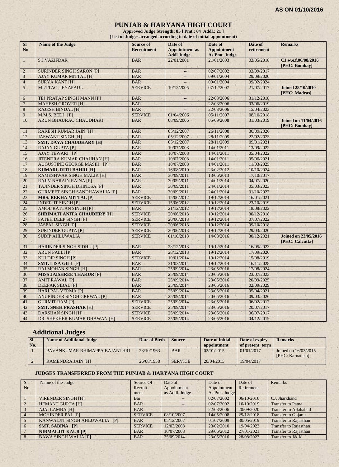## **PUNJAB & HARYANA HIGH COURT**

**Approved Judge Strength: 85 [ Pmt.: 64 Addl.: 21 ] (List of Judges arranged according to date of initial appointment)**

| SI<br>N <sub>o</sub> | Name of the Judge                        | <b>Source of</b><br><b>Recruitment</b> | Date of<br><b>Appointment</b> as<br><b>Addl.Judge</b> | Date of<br><b>Appointment</b><br>As Pmt. Judge | Date of<br>retirement | <b>Remarks</b>                                 |
|----------------------|------------------------------------------|----------------------------------------|-------------------------------------------------------|------------------------------------------------|-----------------------|------------------------------------------------|
| $\mathbf{1}$         | <b>S.J.VAZIFDAR</b>                      | <b>BAR</b>                             | 22/01/2001                                            | 21/01/2003                                     | 03/05/2018            | CJ w.e.f.06/08/2016<br>[PHC: Bombay]           |
| $\overline{c}$       | <b>SURINDER SINGH SARON [P]</b>          | <b>BAR</b>                             | $-$                                                   | 02/07/2002                                     | 03/09/2017            |                                                |
| 3                    | <b>AJAY KUMAR MITTAL [H]</b>             | <b>BAR</b>                             | $-$                                                   | 09/01/2004                                     | 29/09/2020            |                                                |
| $\overline{4}$       | <b>SURYA KANT [H]</b>                    | <b>BAR</b>                             | $\overline{\phantom{a}}$                              | 09/01/2004                                     | 09/02/2024            |                                                |
| 5 <sup>1</sup>       | MUTTACI JEYAPAUL                         | <b>SERVICE</b>                         | 10/12/2005                                            | 07/12/2007                                     | 21/07/2017            | <b>Joined 28/10/2010</b><br>[PHC: Madras]      |
| 6                    | TEJ PRATAP SINGH MANN [P]                | <b>BAR</b>                             | $\overline{\phantom{a}}$                              | 22/03/2006                                     | 31/12/2018            |                                                |
| $\overline{7}$       | <b>MAHESH GROVER [H]</b>                 | <b>BAR</b>                             |                                                       | 22/03/2006                                     | 03/06/2019            |                                                |
| $\,8\,$              | <b>RAJESH BINDAL [H]</b>                 | <b>BAR</b>                             |                                                       | 22/03/2006                                     | 15/04/2023            |                                                |
| 9                    | M.M.S. BEDI [P]                          | <b>SERVICE</b>                         | 01/04/2006                                            | 05/11/2007                                     | 08/10/2018            |                                                |
| 10                   | ARUN BHAURAO CHAUDHARI                   | <b>BAR</b>                             | 08/09/2006                                            | 05/09/2008                                     | 31/03/2019            | <b>Joined on 11/04/2016</b><br>[PHC: Bombay]   |
| 11                   | <b>RAKESH KUMAR JAIN [H]</b>             | <b>BAR</b>                             | 05/12/2007                                            | 26/11/2008                                     | 30/09/2020            |                                                |
| 12                   | <b>JASWANT SINGH [H]</b>                 | <b>BAR</b>                             | 05/12/2007                                            | 28/11/2009                                     | 22/02/2023            |                                                |
| 13                   | <b>SMT. DAYA CHAUDHARY [H]</b>           | <b>BAR</b>                             | 05/12/2007                                            | 28/11/2009                                     | 09/01/2021            |                                                |
| 14                   | <b>RAJAN GUPTA [P]</b>                   | <b>BAR</b>                             | 10/07/2008                                            | 14/01/2011                                     | 13/09/2022            |                                                |
| 15                   | <b>AJAY TEWARI [P]</b>                   | <b>BAR</b>                             | 10/07/2008                                            | 14/01/2011                                     | 05/04/2022            |                                                |
| 16                   | <b>JITENDRA KUMAR CHAUHAN [H]</b>        | <b>BAR</b>                             | 10/07/2008                                            | 14/01/2011                                     | 05/06/2021            |                                                |
| 17                   | <b>AUGUSTINE GEORGE MASIH [P]</b>        | <b>BAR</b>                             | 10/07/2008                                            | 14/01/2011                                     | 11/03/2025            |                                                |
| 18                   | <b>KUMARI RITU BAHRI [H]</b>             | <b>BAR</b>                             | 16/08/2010                                            | 23/02/2012                                     | 10/10/2024            |                                                |
| 19                   | <b>RAMESHWAR SINGH MALIK [H]</b>         | <b>BAR</b>                             | 30/09/2011                                            | 13/06/2013                                     | 17/10/2017            |                                                |
| 20                   | <b>RAJIV NARAIN RAINA [P]</b>            | <b>BAR</b>                             | 30/09/2011                                            | 24/01/2014                                     | 04/07/2020            |                                                |
| 21                   | <b>TAJINDER SINGH DHINDSA [P]</b>        | <b>BAR</b>                             | 30/09/2011                                            | 24/01/2014                                     | 05/03/2023            |                                                |
| 22                   | <b>GURMEET SINGH SANDHAWALIA [P]</b>     | <b>BAR</b>                             | 30/09/2011                                            | 24/01/2014                                     | 31/10/2027            |                                                |
| 23                   | <b>MRS. REKHA MITTAL [P]</b>             | <b>SERVICE</b>                         | 15/06/2012                                            | 19/12/2014                                     | 16/01/2021            |                                                |
| 24                   | <b>INDERJIT SINGH [P]</b>                | <b>SERVICE</b>                         | 15/06/2012                                            | 19/12/2014                                     | 23/10/2019            |                                                |
| 25                   | <b>AMOL RATTAN SINGH [P]</b>             | <b>BAR</b>                             | 21/12/2012<br>×                                       | 19/12/2014                                     | 18/08/2022            |                                                |
| 26                   | <b>SHRIMATI ANITA CHAUDHRY [H]</b>       | <b>SERVICE</b>                         | 20/06/2013                                            | 19/12/2014                                     | 30/12/2018            |                                                |
| 27                   | <b>FATEH DEEP SINGH [P]</b>              | <b>SERVICE</b>                         | 20/06/2013                                            | 19/12/2014                                     | 07/07/2022            |                                                |
| 28                   | <b>JASPAL SINGH [P]</b><br>$\mathcal{A}$ | <b>SERVICE</b>                         | 20/06/2013                                            | 19/12/2014                                     | 09/10/2018            | $\alpha$                                       |
| 29                   | <b>SURINDER GUPTA [P]</b>                | <b>SERVICE</b>                         | 20/06/2013                                            | 19/12/2014                                     | 29/03/2020            |                                                |
| 30                   | <b>SUDIP AHLUWALIA</b>                   | <b>SERVICE</b>                         | 01/10/2013                                            | 14/03/2016                                     | 30/12/2021            | <b>Joined on 23/05/2016</b><br>[PHC: Calcutta] |
| 31                   | <b>HARINDER SINGH SIDHU [P]</b>          | <b>BAR</b>                             | 28/12/2013                                            | 19/12/2014                                     | 16/05/2023            |                                                |
| 32                   | <b>ARUN PALLI [P]</b>                    | <b>BAR</b>                             | 28/12/2013                                            | 19/12/2014                                     | 17/09/2026            |                                                |
| 33                   | <b>KULDIP SINGH [P]</b>                  | <b>SERVICE</b>                         | 10/01/2014                                            | 19/12/2014                                     | 15/08/2019            |                                                |
| 34                   | <b>SMT. LISA GILL [P]</b>                | <b>BAR</b>                             | 31/03/2014                                            | 19/12/2014                                     | 16/11/2028            |                                                |
| 35                   | <b>RAJ MOHAN SINGH [H]</b>               | <b>BAR</b>                             | 25/09/2014                                            | 23/05/2016                                     | 17/08/2024            |                                                |
| 36                   | <b>MISS JAISHREE THAKUR [P]</b>          | <b>BAR</b>                             | 25/09/2014                                            | 20/05/2016                                     | 23/07/2023            |                                                |
| 37                   | <b>AMIT RAWAL [P]</b>                    | <b>BAR</b>                             | 25/09/2014                                            | 23/05/2016                                     | 20/09/2025            |                                                |
| 38                   | <b>DEEPAK SIBAL [P]</b>                  | <b>BAR</b>                             | 25/09/2014                                            | 23/05/2016                                     | 02/09/2029            |                                                |
| 39                   | <b>HARI PAL VERMA [P]</b>                | <b>BAR</b>                             | 25/09/2014                                            | 23/05/2016                                     | 05/04/2021            |                                                |
| 40                   | <b>ANUPINDER SINGH GREWAL [P]</b>        | <b>BAR</b>                             | 25/09/2014                                            | 20/05/2016                                     | 09/03/2026            |                                                |
| 41                   | <b>GURMIT RAM [P]</b>                    | <b>SERVICE</b>                         | 25/09/2014                                            | 23/05/2016                                     | 06/02/2017            |                                                |
| 42                   | <b>SMT. SNEH PRASHAR [H]</b>             | <b>SERVICE</b>                         | 25/09/2014                                            | 23/05/2016                                     | 20/07/2017            |                                                |
| 43                   | <b>DARSHAN SINGH [H]</b>                 | <b>SERVICE</b>                         | 25/09/2014                                            | 23/05/2016                                     | 06/07/2017            |                                                |
| 44                   | DR. SHEKHER KUMAR DHAWAN [H]             | <b>SERVICE</b>                         | 25/09/2014                                            | 23/05/2016                                     | 04/12/2019            |                                                |

## **Additional Judges**

| SI.<br>No. | <b>Name of Additional Judge</b> | Date of Birth | <b>Source</b>  | Date of initial<br>appointment | Date of expiry<br>of present term | <b>Remarks</b>                           |
|------------|---------------------------------|---------------|----------------|--------------------------------|-----------------------------------|------------------------------------------|
|            | PAVANKUMAR BHIMAPPA BAJANTHRI   | 23/10/1963    | <b>BAR</b>     | 02/01/2015                     | 01/01/2017                        | Joined on 16/03/2015<br>[PHC: Karnataka] |
|            | <b>RAMENDRA JAIN [H]</b>        | 26/08/1958    | <b>SERVICE</b> | 20/04/2015                     | 19/04/2017                        |                                          |

## **JUDGES TRANSFERRED FROM THE PUNJAB & HARYANA HIGH COURT**

| Sl.            | Name of the Judge             | Source Of      | Date of           | Date of       | Date of    | Remarks                      |
|----------------|-------------------------------|----------------|-------------------|---------------|------------|------------------------------|
| No.            |                               | Recruit-       | Appointment       | Appointment   | Retirement |                              |
|                |                               | ment           | as Addl. Judge    | As Pmt. Judge |            |                              |
|                | <b>VIRENDER SINGH [H]</b>     | Bar            | $\qquad \qquad -$ | 02/07/2002    | 06/10/2016 | CJ, Jharkhand                |
|                | <b>HEMANT GUPTA [H]</b>       | <b>BAR</b>     |                   | 02/07/2002    | 16/10/2019 | <b>Transfer to Patna</b>     |
|                | AJAI LAMBA [H]                | BAR.           |                   | 22/03/2006    | 20/09/2020 | <b>Transfer to Allahabad</b> |
| $\overline{4}$ | <b>MOHINDER PAL [P]</b>       | <b>SERVICE</b> | 08/10/2007        | 14/05/2008    | 29/12/2018 | <b>Transfer to Gujarat</b>   |
|                | KANWALJIT SINGH AHLUWALIA [P] | <b>BAR</b>     | 05/12/2007        | 01/07/2009    | 30/05/2019 | <b>Transfer to Rajasthan</b> |
| -6             | <b>SMT. SABINA [P]</b>        | <b>SERVICE</b> | 12/03/2008        | 23/02/2010    | 19/04/2023 | <b>Transfer to Rajasthan</b> |
|                | <b>NIRMALJIT KAUR [P]</b>     | <b>BAR</b>     | 10/07/2008        | 29/06/2012    | 27/01/2021 | <b>Transfer to Rajasthan</b> |
|                | <b>BAWA SINGH WALIA [P]</b>   | <b>BAR</b>     | 25/09/2014        | 23/05/2016    | 28/08/2023 | Transfer to J& K             |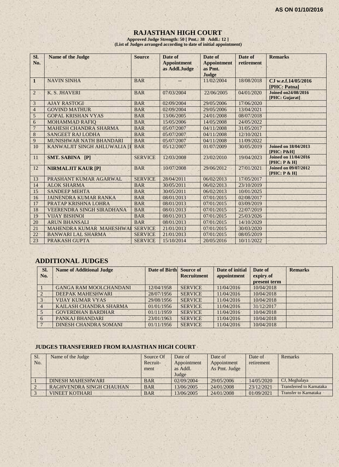## **RAJASTHAN HIGH COURT**

**Approved Judge Strength: 50 [ Pmt.: 38 Addl.: 12 ] (List of Judges arranged according to date of initial appointment)**

| SI.<br>No.     | <b>Name of the Judge</b>         | <b>Source</b>  | Date of<br><b>Appointment</b><br>as Addl.Judge | Date of<br><b>Appointment</b><br>as Pmt.<br>Judge | Date of<br>retirement | <b>Remarks</b>                                       |
|----------------|----------------------------------|----------------|------------------------------------------------|---------------------------------------------------|-----------------------|------------------------------------------------------|
| $\mathbf{1}$   | <b>NAVIN SINHA</b>               | <b>BAR</b>     |                                                | 11/02/2004                                        | 18/08/2018            | CJ w.e.f.14/05/2016<br>[PHC: Patna]                  |
| $\overline{2}$ | K. S. JHAVERI                    | <b>BAR</b>     | 07/03/2004                                     | 22/06/2005                                        | 04/01/2020            | <b>Joined on24/08/2016</b><br>[PHC: Gujarat]         |
| 3              | <b>AJAY RASTOGI</b>              | <b>BAR</b>     | 02/09/2004                                     | 29/05/2006                                        | 17/06/2020            |                                                      |
| $\overline{4}$ | <b>GOVIND MATHUR</b>             | <b>BAR</b>     | 02/09/2004                                     | 29/05/2006                                        | 13/04/2021            |                                                      |
| 5              | <b>GOPAL KRISHAN VYAS</b>        | <b>BAR</b>     | 13/06/2005                                     | 24/01/2008                                        | 08/07/2018            |                                                      |
| 6              | <b>MOHAMMAD RAFIQ</b>            | <b>BAR</b>     | 15/05/2006                                     | 14/05/2008                                        | 24/05/2022            |                                                      |
| $\overline{7}$ | <b>MAHESH CHANDRA SHARMA</b>     | <b>BAR</b>     | 05/07/2007                                     | 04/11/2008                                        | 31/05/2017            |                                                      |
| $\,8\,$        | <b>SANGEET RAJ LODHA</b>         | <b>BAR</b>     | 05/07/2007                                     | 04/11/2008                                        | 12/10/2021            |                                                      |
| $\overline{9}$ | MUNISHWAR NATH BHANDARI          | <b>BAR</b>     | 05/07/2007                                     | 04/11/2008                                        | 11/09/2022            |                                                      |
| 10             | KANWALJIT SINGH AHLUWALIA [I     | <b>BAR</b>     | 05/12/2007                                     | 01/07/2009                                        | 30/05/2019            | <b>Joined on 18/04/2013</b><br><b>[PHC: P&amp;H]</b> |
| 11             | SMT. SABINA [P]                  | <b>SERVICE</b> | 12/03/2008                                     | 23/02/2010                                        | 19/04/2023            | <b>Joined on 11/04/2016</b><br>[PHC: P & H]          |
| 12             | <b>NIRMALJIT KAUR [P]</b>        | <b>BAR</b>     | 10/07/2008                                     | 29/06/2012                                        | 27/01/2021            | <b>Joined on 09/07/2012</b><br>[PHC: P & H]          |
| 13             | PRASHANT KUMAR AGARWAL           | <b>SERVICE</b> | 28/04/2011                                     | 06/02/2013                                        | 17/05/2017            |                                                      |
| 14             | <b>ALOK SHARMA</b>               | <b>BAR</b>     | 30/05/2011                                     | 06/02/2013                                        | 23/10/2019            |                                                      |
| 15             | <b>SANDEEP MEHTA</b>             | <b>BAR</b>     | 30/05/2011                                     | 06/02/2013                                        | 10/01/2025            |                                                      |
| 16             | <b>JAINENDRA KUMAR RANKA</b>     | <b>BAR</b>     | 08/01/2013                                     | 07/01/2015                                        | 02/08/2017            |                                                      |
| 17             | PRATAP KRISHNA LOHRA             | <b>BAR</b>     | 08/01/2013                                     | 07/01/2015                                        | 03/09/2019            |                                                      |
| 18             | <b>VEERENDRA SINGH SIRADHANA</b> | <b>BAR</b>     | 08/01/2013                                     | 07/01/2015                                        | 22/07/2019            |                                                      |
| 19             | <b>VIJAY BISHNOI</b>             | <b>BAR</b>     | 08/01/2013                                     | 07/01/2015                                        | 25/03/2026            |                                                      |
| 20             | <b>ARUN BHANSALI</b>             | <b>BAR</b>     | 08/01/2013                                     | 07/01/2015                                        | 14/10/2029            |                                                      |
| 21             | MAHENDRA KUMAR MAHESHWA          | <b>SERVICE</b> | 21/01/2013                                     | 07/01/2015                                        | 30/03/2020            |                                                      |
| 22             | <b>BANWARI LAL SHARMA</b>        | <b>SERVICE</b> | 21/01/2013                                     | 07/01/2015                                        | 08/05/2019            |                                                      |
| 23             | PRAKASH GUPTA                    | <b>SERVICE</b> | 15/10/2014                                     | 20/05/2016                                        | 10/11/2022            |                                                      |

# **ADDITIONAL JUDGES**

| SI.<br>No.     | <b>Name of Additional Judge</b> | Date of Birth Source of | <b>Recruitment</b> | Date of initial<br>appointment | Date of<br>expiry of<br>present term | <b>Remarks</b> |
|----------------|---------------------------------|-------------------------|--------------------|--------------------------------|--------------------------------------|----------------|
|                | <b>GANGA RAM MOOLCHANDANI</b>   | 12/04/1958              | <b>SERVICE</b>     | 11/04/2016                     | 10/04/2018                           |                |
|                | DEEPAK MAHESHWARI               | 28/07/1956              | <b>SERVICE</b>     | 11/04/2016                     | 10/04/2018                           |                |
|                | <b>VIJAY KUMAR VYAS</b>         | 29/08/1956              | <b>SERVICE</b>     | 11/04/2016                     | 10/04/2018                           |                |
| $\overline{4}$ | KAILASH CHANDRA SHARMA          | 01/01/1956              | <b>SERVICE</b>     | 11/04/2016                     | 31/12/2017                           |                |
|                | <b>GOVERDHAN BARDHAR</b>        | 01/11/1959              | <b>SERVICE</b>     | 11/04/2016                     | 10/04/2018                           |                |
| $\sigma$       | PANKAJ BHANDARI                 | 23/01/1963              | <b>SERVICE</b>     | 11/04/2016                     | 10/04/2018                           |                |
|                | <b>DINESH CHANDRA SOMANI</b>    | 01/11/1956              | <b>SERVICE</b>     | 11/04/2016                     | 10/04/2018                           |                |

## **JUDGES TRANSFERRED FROM RAJASTHAN HIGH COURT**

| Sl. | Name of the Judge        | Source Of  | Date of     | Date of       | Date of    | <b>Remarks</b>                  |
|-----|--------------------------|------------|-------------|---------------|------------|---------------------------------|
| No. |                          | Recruit-   | Appointment | Appointment   | retirement |                                 |
|     |                          | ment       | as Addl.    | As Pmt. Judge |            |                                 |
|     |                          |            | Judge       |               |            |                                 |
|     | DINESH MAHESHWARI        | <b>BAR</b> | 02/09/2004  | 29/05/2006    | 14/05/2020 | CJ, Meghalaya                   |
|     | RAGHVENDRA SINGH CHAUHAN | <b>BAR</b> | 13/06/2005  | 24/01/2008    | 23/12/2021 | <b>Transferred to Karnataka</b> |
|     | <b>VINEET KOTHARI</b>    | <b>BAR</b> | 13/06/2005  | 24/01/2008    | 01/09/2021 | <b>Transfer to Karnataka</b>    |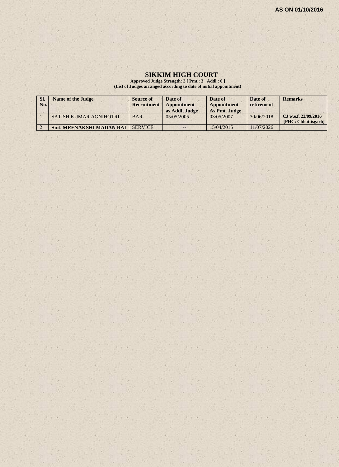#### **SIKKIM HIGH COURT**

**Approved Judge Strength: 3 [ Pmt.: 3 Addl.: 0 ] (List of Judges arranged according to date of initial appointment)**

| SI.<br>No. | Name of the Judge               | Source of<br>Recruitment | Date of<br>Appointment<br>as Addl. Judge | Date of<br><b>Appointment</b><br>As Pmt. Judge | Date of<br>retirement | <b>Remarks</b>                              |
|------------|---------------------------------|--------------------------|------------------------------------------|------------------------------------------------|-----------------------|---------------------------------------------|
|            | <b>SATISH KUMAR AGNIHOTRI</b>   | <b>BAR</b>               | 0.5/0.5/200.5                            | 03/05/2007                                     | 30/06/2018            | CJ w.e.f. 22/09/2016<br>[PHC: Chhattisgarh] |
|            | <b>Smt. MEENAKSHI MADAN RAI</b> | <b>SERVICE</b>           | $- -$                                    | 15/04/2015                                     | 11/07/2026            |                                             |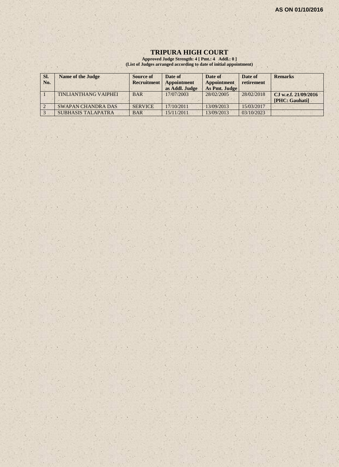#### **TRIPURA HIGH COURT**

**Approved Judge Strength: 4 [ Pmt.: 4 Addl.: 0 ] (List of Judges arranged according to date of initial appointment)**

| SI. | <b>Name of the Judge</b>    | Source of          | Date of        | Date of       | Date of    | <b>Remarks</b>         |
|-----|-----------------------------|--------------------|----------------|---------------|------------|------------------------|
| No. |                             | <b>Recruitment</b> | Appointment    | Appointment   | retirement |                        |
|     |                             |                    | as Addl. Judge | As Pmt. Judge |            |                        |
|     | <b>TINLIANTHANG VAIPHEI</b> | <b>BAR</b>         | 17/07/2003     | 28/02/2005    | 28/02/2018 | CJ w.e.f. $21/09/2016$ |
|     |                             |                    |                |               |            | [PHC: Gauhati]         |
|     | <b>SWAPAN CHANDRA DAS</b>   | <b>SERVICE</b>     | 17/10/2011     | 13/09/2013    | 15/03/2017 |                        |
|     | <b>SUBHASIS TALAPATRA</b>   | <b>BAR</b>         | 15/11/2011     | 13/09/2013    | 03/10/2023 |                        |